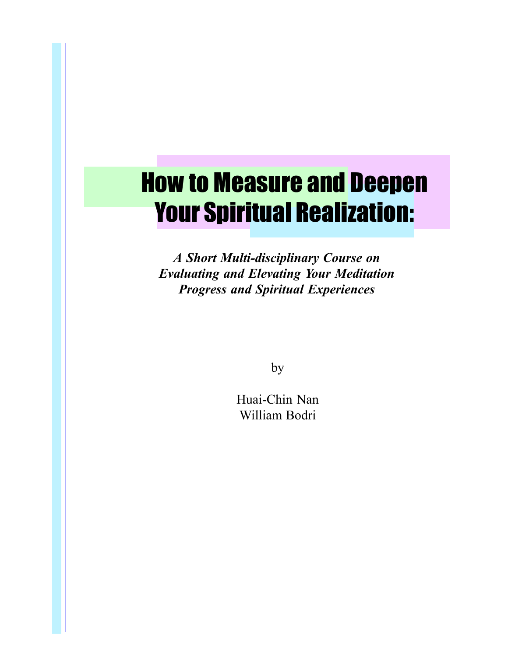# How to Measure and Deepen Your Spiritual Realization:

*A Short Multi-disciplinary Course on Evaluating and Elevating Your Meditation Progress and Spiritual Experiences*

by

Huai-Chin Nan William Bodri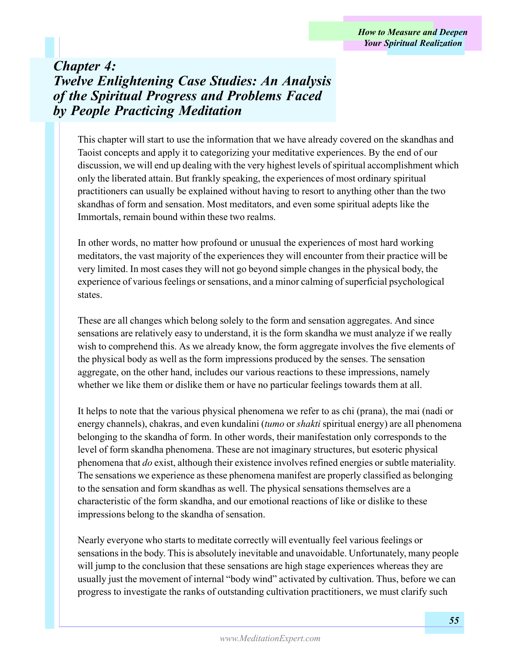*Chapter 4: Twelve Enlightening Case Studies: An Analysis of the Spiritual Progress and Problems Faced by People Practicing Meditation*

This chapter will start to use the information that we have already covered on the skandhas and Taoist concepts and apply it to categorizing your meditative experiences. By the end of our discussion, we will end up dealing with the very highest levels of spiritual accomplishment which only the liberated attain. But frankly speaking, the experiences of most ordinary spiritual practitioners can usually be explained without having to resort to anything other than the two skandhas of form and sensation. Most meditators, and even some spiritual adepts like the Immortals, remain bound within these two realms.

In other words, no matter how profound or unusual the experiences of most hard working meditators, the vast majority of the experiences they will encounter from their practice will be very limited. In most cases they will not go beyond simple changes in the physical body, the experience of various feelings or sensations, and a minor calming of superficial psychological states.

These are all changes which belong solely to the form and sensation aggregates. And since sensations are relatively easy to understand, it is the form skandha we must analyze if we really wish to comprehend this. As we already know, the form aggregate involves the five elements of the physical body as well as the form impressions produced by the senses. The sensation aggregate, on the other hand, includes our various reactions to these impressions, namely whether we like them or dislike them or have no particular feelings towards them at all.

It helps to note that the various physical phenomena we refer to as chi (prana), the mai (nadi or energy channels), chakras, and even kundalini (*tumo* or *shakti* spiritual energy) are all phenomena belonging to the skandha of form. In other words, their manifestation only corresponds to the level of form skandha phenomena. These are not imaginary structures, but esoteric physical phenomena that *do* exist, although their existence involves refined energies or subtle materiality. The sensations we experience as these phenomena manifest are properly classified as belonging to the sensation and form skandhas as well. The physical sensations themselves are a characteristic of the form skandha, and our emotional reactions of like or dislike to these impressions belong to the skandha of sensation.

Nearly everyone who starts to meditate correctly will eventually feel various feelings or sensations in the body. This is absolutely inevitable and unavoidable. Unfortunately, many people will jump to the conclusion that these sensations are high stage experiences whereas they are usually just the movement of internal "body wind" activated by cultivation. Thus, before we can progress to investigate the ranks of outstanding cultivation practitioners, we must clarify such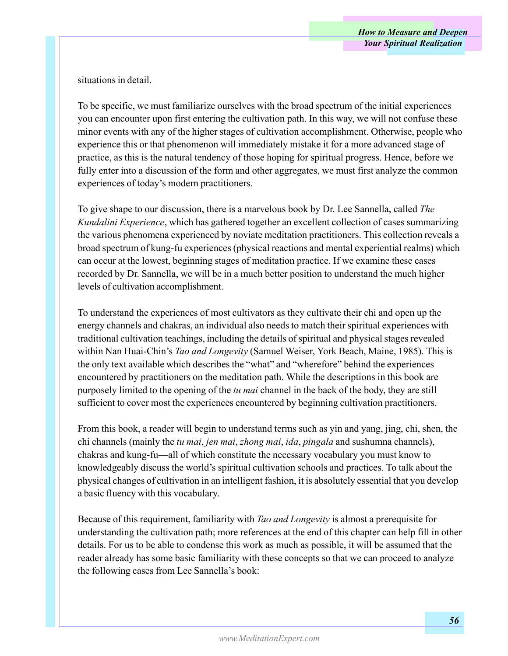situations in detail.

To be specific, we must familiarize ourselves with the broad spectrum of the initial experiences you can encounter upon first entering the cultivation path. In this way, we will not confuse these minor events with any of the higher stages of cultivation accomplishment. Otherwise, people who experience this or that phenomenon will immediately mistake it for a more advanced stage of practice, as this is the natural tendency of those hoping for spiritual progress. Hence, before we fully enter into a discussion of the form and other aggregates, we must first analyze the common experiences of today's modern practitioners.

To give shape to our discussion, there is a marvelous book by Dr. Lee Sannella, called *The Kundalini Experience*, which has gathered together an excellent collection of cases summarizing the various phenomena experienced by noviate meditation practitioners. This collection reveals a broad spectrum of kung-fu experiences (physical reactions and mental experiential realms) which can occur at the lowest, beginning stages of meditation practice. If we examine these cases recorded by Dr. Sannella, we will be in a much better position to understand the much higher levels of cultivation accomplishment.

To understand the experiences of most cultivators as they cultivate their chi and open up the energy channels and chakras, an individual also needs to match their spiritual experiences with traditional cultivation teachings, including the details of spiritual and physical stages revealed within Nan Huai-Chin's *Tao and Longevity* (Samuel Weiser, York Beach, Maine, 1985). This is the only text available which describes the "what" and "wherefore" behind the experiences encountered by practitioners on the meditation path. While the descriptions in this book are purposely limited to the opening of the *tu mai* channel in the back of the body, they are still sufficient to cover most the experiences encountered by beginning cultivation practitioners.

From this book, a reader will begin to understand terms such as yin and yang, jing, chi, shen, the chi channels (mainly the *tu mai*, *jen mai*, *zhong mai*, *ida*, *pingala* and sushumna channels), chakras and kung-fu—all of which constitute the necessary vocabulary you must know to knowledgeably discuss the world's spiritual cultivation schools and practices. To talk about the physical changes of cultivation in an intelligent fashion, it is absolutely essential that you develop a basic fluency with this vocabulary.

Because of this requirement, familiarity with *Tao and Longevity* is almost a prerequisite for understanding the cultivation path; more references at the end of this chapter can help fill in other details. For us to be able to condense this work as much as possible, it will be assumed that the reader already has some basic familiarity with these concepts so that we can proceed to analyze the following cases from Lee Sannella's book: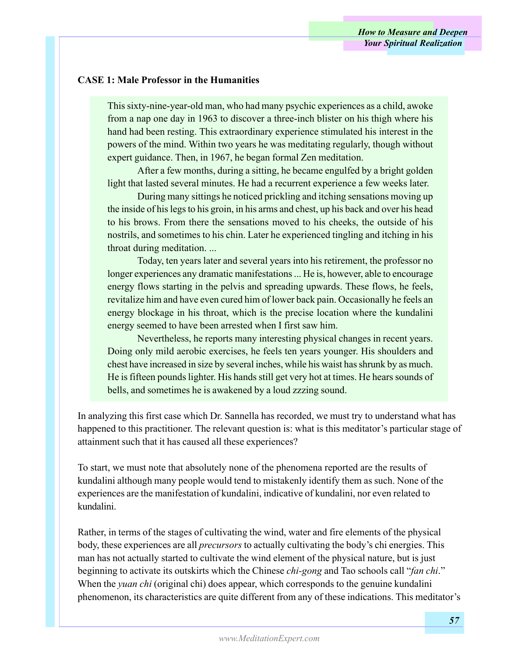### **CASE 1: Male Professor in the Humanities**

This sixty-nine-year-old man, who had many psychic experiences as a child, awoke from a nap one day in 1963 to discover a three-inch blister on his thigh where his hand had been resting. This extraordinary experience stimulated his interest in the powers of the mind. Within two years he was meditating regularly, though without expert guidance. Then, in 1967, he began formal Zen meditation.

After a few months, during a sitting, he became engulfed by a bright golden light that lasted several minutes. He had a recurrent experience a few weeks later.

During many sittings he noticed prickling and itching sensations moving up the inside of his legs to his groin, in his arms and chest, up his back and over his head to his brows. From there the sensations moved to his cheeks, the outside of his nostrils, and sometimes to his chin. Later he experienced tingling and itching in his throat during meditation. ...

Today, ten years later and several years into his retirement, the professor no longer experiences any dramatic manifestations ... He is, however, able to encourage energy flows starting in the pelvis and spreading upwards. These flows, he feels, revitalize him and have even cured him of lower back pain. Occasionally he feels an energy blockage in his throat, which is the precise location where the kundalini energy seemed to have been arrested when I first saw him.

Nevertheless, he reports many interesting physical changes in recent years. Doing only mild aerobic exercises, he feels ten years younger. His shoulders and chest have increased in size by several inches, while his waist has shrunk by as much. He is fifteen pounds lighter. His hands still get very hot at times. He hears sounds of bells, and sometimes he is awakened by a loud zzzing sound.

In analyzing this first case which Dr. Sannella has recorded, we must try to understand what has happened to this practitioner. The relevant question is: what is this meditator's particular stage of attainment such that it has caused all these experiences?

To start, we must note that absolutely none of the phenomena reported are the results of kundalini although many people would tend to mistakenly identify them as such. None of the experiences are the manifestation of kundalini, indicative of kundalini, nor even related to kundalini.

Rather, in terms of the stages of cultivating the wind, water and fire elements of the physical body, these experiences are all *precursors* to actually cultivating the body's chi energies. This man has not actually started to cultivate the wind element of the physical nature, but is just beginning to activate its outskirts which the Chinese *chi-gong* and Tao schools call *"fan chi*." When the *yuan chi* (original chi) does appear, which corresponds to the genuine kundalini phenomenon, its characteristics are quite different from any of these indications. This meditator's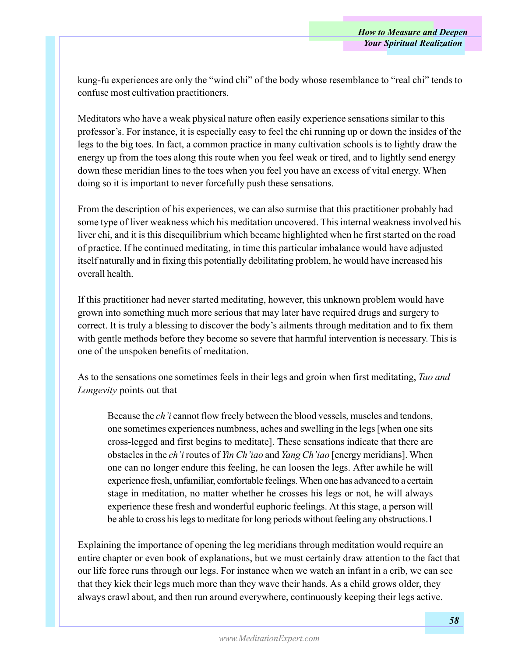kung-fu experiences are only the "wind chi" of the body whose resemblance to "real chi" tends to confuse most cultivation practitioners.

Meditators who have a weak physical nature often easily experience sensations similar to this professor's. For instance, it is especially easy to feel the chi running up or down the insides of the legs to the big toes. In fact, a common practice in many cultivation schools is to lightly draw the energy up from the toes along this route when you feel weak or tired, and to lightly send energy down these meridian lines to the toes when you feel you have an excess of vital energy. When doing so it is important to never forcefully push these sensations.

From the description of his experiences, we can also surmise that this practitioner probably had some type of liver weakness which his meditation uncovered. This internal weakness involved his liver chi, and it is this disequilibrium which became highlighted when he first started on the road of practice. If he continued meditating, in time this particular imbalance would have adjusted itself naturally and in fixing this potentially debilitating problem, he would have increased his overall health.

If this practitioner had never started meditating, however, this unknown problem would have grown into something much more serious that may later have required drugs and surgery to correct. It is truly a blessing to discover the body's ailments through meditation and to fix them with gentle methods before they become so severe that harmful intervention is necessary. This is one of the unspoken benefits of meditation.

As to the sensations one sometimes feels in their legs and groin when first meditating, *Tao and Longevity* points out that

Because the *ch'i* cannot flow freely between the blood vessels, muscles and tendons, one sometimes experiences numbness, aches and swelling in the legs [when one sits cross-legged and first begins to meditate]. These sensations indicate that there are obstacles in the *ch'i* routes of *Yin Ch'iao* and *Yang Ch'iao* [energy meridians]. When one can no longer endure this feeling, he can loosen the legs. After awhile he will experience fresh, unfamiliar, comfortable feelings. When one has advanced to a certain stage in meditation, no matter whether he crosses his legs or not, he will always experience these fresh and wonderful euphoric feelings. At this stage, a person will be able to cross his legs to meditate for long periods without feeling any obstructions.1

Explaining the importance of opening the leg meridians through meditation would require an entire chapter or even book of explanations, but we must certainly draw attention to the fact that our life force runs through our legs. For instance when we watch an infant in a crib, we can see that they kick their legs much more than they wave their hands. As a child grows older, they always crawl about, and then run around everywhere, continuously keeping their legs active.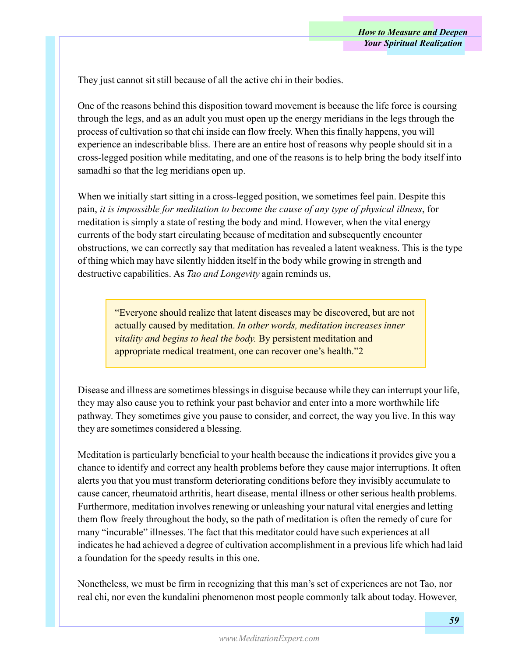They just cannot sit still because of all the active chi in their bodies.

One of the reasons behind this disposition toward movement is because the life force is coursing through the legs, and as an adult you must open up the energy meridians in the legs through the process of cultivation so that chi inside can flow freely. When this finally happens, you will experience an indescribable bliss. There are an entire host of reasons why people should sit in a cross-legged position while meditating, and one of the reasons is to help bring the body itself into samadhi so that the leg meridians open up.

When we initially start sitting in a cross-legged position, we sometimes feel pain. Despite this pain, *it is impossible for meditation to become the cause of any type of physical illness*, for meditation is simply a state of resting the body and mind. However, when the vital energy currents of the body start circulating because of meditation and subsequently encounter obstructions, we can correctly say that meditation has revealed a latent weakness. This is the type of thing which may have silently hidden itself in the body while growing in strength and destructive capabilities. As *Tao and Longevity* again reminds us,

ìEveryone should realize that latent diseases may be discovered, but are not actually caused by meditation. *In other words, meditation increases inner vitality and begins to heal the body.* By persistent meditation and appropriate medical treatment, one can recover one's health."2

Disease and illness are sometimes blessings in disguise because while they can interrupt your life, they may also cause you to rethink your past behavior and enter into a more worthwhile life pathway. They sometimes give you pause to consider, and correct, the way you live. In this way they are sometimes considered a blessing.

Meditation is particularly beneficial to your health because the indications it provides give you a chance to identify and correct any health problems before they cause major interruptions. It often alerts you that you must transform deteriorating conditions before they invisibly accumulate to cause cancer, rheumatoid arthritis, heart disease, mental illness or other serious health problems. Furthermore, meditation involves renewing or unleashing your natural vital energies and letting them flow freely throughout the body, so the path of meditation is often the remedy of cure for many "incurable" illnesses. The fact that this meditator could have such experiences at all indicates he had achieved a degree of cultivation accomplishment in a previous life which had laid a foundation for the speedy results in this one.

Nonetheless, we must be firm in recognizing that this man's set of experiences are not Tao, nor real chi, nor even the kundalini phenomenon most people commonly talk about today. However,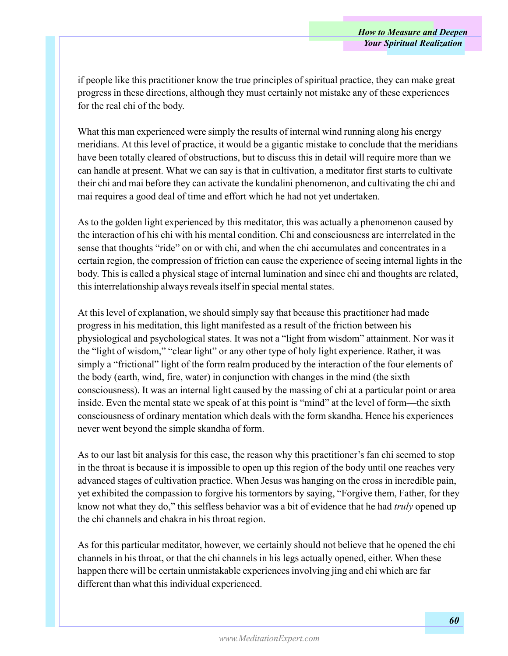if people like this practitioner know the true principles of spiritual practice, they can make great progress in these directions, although they must certainly not mistake any of these experiences for the real chi of the body.

What this man experienced were simply the results of internal wind running along his energy meridians. At this level of practice, it would be a gigantic mistake to conclude that the meridians have been totally cleared of obstructions, but to discuss this in detail will require more than we can handle at present. What we can say is that in cultivation, a meditator first starts to cultivate their chi and mai before they can activate the kundalini phenomenon, and cultivating the chi and mai requires a good deal of time and effort which he had not yet undertaken.

As to the golden light experienced by this meditator, this was actually a phenomenon caused by the interaction of his chi with his mental condition. Chi and consciousness are interrelated in the sense that thoughts "ride" on or with chi, and when the chi accumulates and concentrates in a certain region, the compression of friction can cause the experience of seeing internal lights in the body. This is called a physical stage of internal lumination and since chi and thoughts are related, this interrelationship always reveals itself in special mental states.

At this level of explanation, we should simply say that because this practitioner had made progress in his meditation, this light manifested as a result of the friction between his physiological and psychological states. It was not a "light from wisdom" attainment. Nor was it the "light of wisdom," "clear light" or any other type of holy light experience. Rather, it was simply a "frictional" light of the form realm produced by the interaction of the four elements of the body (earth, wind, fire, water) in conjunction with changes in the mind (the sixth consciousness). It was an internal light caused by the massing of chi at a particular point or area inside. Even the mental state we speak of at this point is "mind" at the level of form—the sixth consciousness of ordinary mentation which deals with the form skandha. Hence his experiences never went beyond the simple skandha of form.

As to our last bit analysis for this case, the reason why this practitioner's fan chi seemed to stop in the throat is because it is impossible to open up this region of the body until one reaches very advanced stages of cultivation practice. When Jesus was hanging on the cross in incredible pain, yet exhibited the compassion to forgive his tormentors by saying, "Forgive them, Father, for they know not what they do," this selfless behavior was a bit of evidence that he had *truly* opened up the chi channels and chakra in his throat region.

As for this particular meditator, however, we certainly should not believe that he opened the chi channels in his throat, or that the chi channels in his legs actually opened, either. When these happen there will be certain unmistakable experiences involving jing and chi which are far different than what this individual experienced.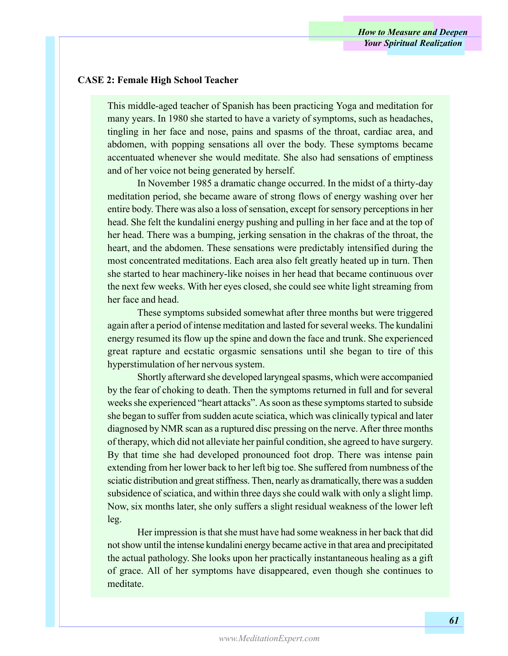#### **CASE 2: Female High School Teacher**

This middle-aged teacher of Spanish has been practicing Yoga and meditation for many years. In 1980 she started to have a variety of symptoms, such as headaches, tingling in her face and nose, pains and spasms of the throat, cardiac area, and abdomen, with popping sensations all over the body. These symptoms became accentuated whenever she would meditate. She also had sensations of emptiness and of her voice not being generated by herself.

In November 1985 a dramatic change occurred. In the midst of a thirty-day meditation period, she became aware of strong flows of energy washing over her entire body. There was also a loss of sensation, except for sensory perceptions in her head. She felt the kundalini energy pushing and pulling in her face and at the top of her head. There was a bumping, jerking sensation in the chakras of the throat, the heart, and the abdomen. These sensations were predictably intensified during the most concentrated meditations. Each area also felt greatly heated up in turn. Then she started to hear machinery-like noises in her head that became continuous over the next few weeks. With her eyes closed, she could see white light streaming from her face and head.

These symptoms subsided somewhat after three months but were triggered again after a period of intense meditation and lasted for several weeks. The kundalini energy resumed its flow up the spine and down the face and trunk. She experienced great rapture and ecstatic orgasmic sensations until she began to tire of this hyperstimulation of her nervous system.

Shortly afterward she developed laryngeal spasms, which were accompanied by the fear of choking to death. Then the symptoms returned in full and for several weeks she experienced "heart attacks". As soon as these symptoms started to subside she began to suffer from sudden acute sciatica, which was clinically typical and later diagnosed by NMR scan as a ruptured disc pressing on the nerve. After three months of therapy, which did not alleviate her painful condition, she agreed to have surgery. By that time she had developed pronounced foot drop. There was intense pain extending from her lower back to her left big toe. She suffered from numbness of the sciatic distribution and great stiffness. Then, nearly as dramatically, there was a sudden subsidence of sciatica, and within three days she could walk with only a slight limp. Now, six months later, she only suffers a slight residual weakness of the lower left leg.

Her impression is that she must have had some weakness in her back that did not show until the intense kundalini energy became active in that area and precipitated the actual pathology. She looks upon her practically instantaneous healing as a gift of grace. All of her symptoms have disappeared, even though she continues to meditate.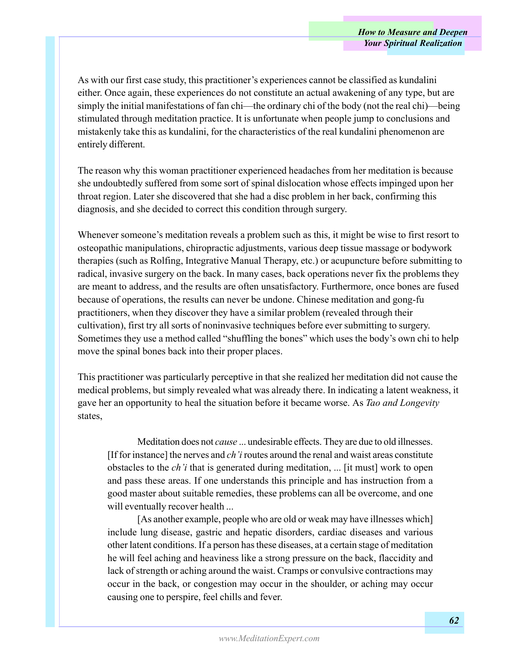As with our first case study, this practitioner's experiences cannot be classified as kundalini either. Once again, these experiences do not constitute an actual awakening of any type, but are simply the initial manifestations of fan chi—the ordinary chi of the body (not the real chi)—being stimulated through meditation practice. It is unfortunate when people jump to conclusions and mistakenly take this as kundalini, for the characteristics of the real kundalini phenomenon are entirely different.

The reason why this woman practitioner experienced headaches from her meditation is because she undoubtedly suffered from some sort of spinal dislocation whose effects impinged upon her throat region. Later she discovered that she had a disc problem in her back, confirming this diagnosis, and she decided to correct this condition through surgery.

Whenever someone's meditation reveals a problem such as this, it might be wise to first resort to osteopathic manipulations, chiropractic adjustments, various deep tissue massage or bodywork therapies (such as Rolfing, Integrative Manual Therapy, etc.) or acupuncture before submitting to radical, invasive surgery on the back. In many cases, back operations never fix the problems they are meant to address, and the results are often unsatisfactory. Furthermore, once bones are fused because of operations, the results can never be undone. Chinese meditation and gong-fu practitioners, when they discover they have a similar problem (revealed through their cultivation), first try all sorts of noninvasive techniques before ever submitting to surgery. Sometimes they use a method called "shuffling the bones" which uses the body's own chi to help move the spinal bones back into their proper places.

This practitioner was particularly perceptive in that she realized her meditation did not cause the medical problems, but simply revealed what was already there. In indicating a latent weakness, it gave her an opportunity to heal the situation before it became worse. As *Tao and Longevity* states,

Meditation does not *cause* ... undesirable effects. They are due to old illnesses. [If for instance] the nerves and *ch'i* routes around the renal and waist areas constitute obstacles to the *ch'i* that is generated during meditation, ... [it must] work to open and pass these areas. If one understands this principle and has instruction from a good master about suitable remedies, these problems can all be overcome, and one will eventually recover health ...

[As another example, people who are old or weak may have illnesses which] include lung disease, gastric and hepatic disorders, cardiac diseases and various other latent conditions. If a person has these diseases, at a certain stage of meditation he will feel aching and heaviness like a strong pressure on the back, flaccidity and lack of strength or aching around the waist. Cramps or convulsive contractions may occur in the back, or congestion may occur in the shoulder, or aching may occur causing one to perspire, feel chills and fever.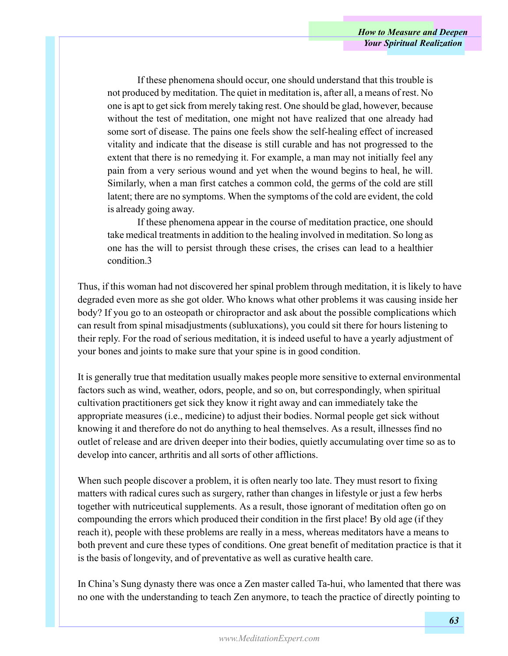If these phenomena should occur, one should understand that this trouble is not produced by meditation. The quiet in meditation is, after all, a means of rest. No one is apt to get sick from merely taking rest. One should be glad, however, because without the test of meditation, one might not have realized that one already had some sort of disease. The pains one feels show the self-healing effect of increased vitality and indicate that the disease is still curable and has not progressed to the extent that there is no remedying it. For example, a man may not initially feel any pain from a very serious wound and yet when the wound begins to heal, he will. Similarly, when a man first catches a common cold, the germs of the cold are still latent; there are no symptoms. When the symptoms of the cold are evident, the cold is already going away.

If these phenomena appear in the course of meditation practice, one should take medical treatments in addition to the healing involved in meditation. So long as one has the will to persist through these crises, the crises can lead to a healthier condition.3

Thus, if this woman had not discovered her spinal problem through meditation, it is likely to have degraded even more as she got older. Who knows what other problems it was causing inside her body? If you go to an osteopath or chiropractor and ask about the possible complications which can result from spinal misadjustments (subluxations), you could sit there for hours listening to their reply. For the road of serious meditation, it is indeed useful to have a yearly adjustment of your bones and joints to make sure that your spine is in good condition.

It is generally true that meditation usually makes people more sensitive to external environmental factors such as wind, weather, odors, people, and so on, but correspondingly, when spiritual cultivation practitioners get sick they know it right away and can immediately take the appropriate measures (i.e., medicine) to adjust their bodies. Normal people get sick without knowing it and therefore do not do anything to heal themselves. As a result, illnesses find no outlet of release and are driven deeper into their bodies, quietly accumulating over time so as to develop into cancer, arthritis and all sorts of other afflictions.

When such people discover a problem, it is often nearly too late. They must resort to fixing matters with radical cures such as surgery, rather than changes in lifestyle or just a few herbs together with nutriceutical supplements. As a result, those ignorant of meditation often go on compounding the errors which produced their condition in the first place! By old age (if they reach it), people with these problems are really in a mess, whereas meditators have a means to both prevent and cure these types of conditions. One great benefit of meditation practice is that it is the basis of longevity, and of preventative as well as curative health care.

In Chinaís Sung dynasty there was once a Zen master called Ta-hui, who lamented that there was no one with the understanding to teach Zen anymore, to teach the practice of directly pointing to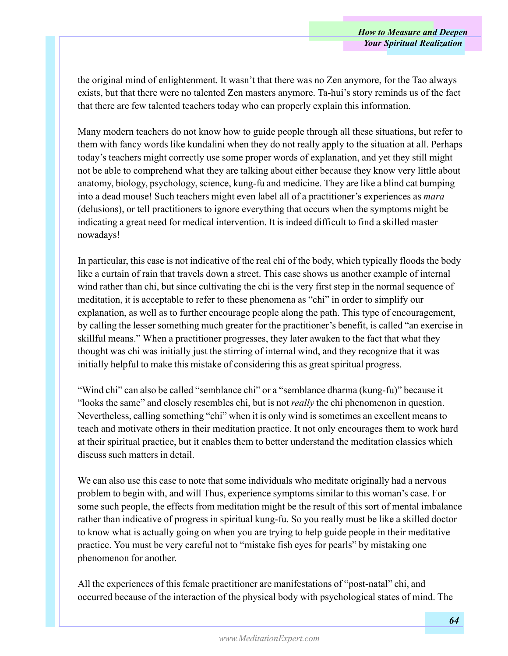the original mind of enlightenment. It wasn't that there was no Zen anymore, for the Tao always exists, but that there were no talented Zen masters anymore. Ta-huiís story reminds us of the fact that there are few talented teachers today who can properly explain this information.

Many modern teachers do not know how to guide people through all these situations, but refer to them with fancy words like kundalini when they do not really apply to the situation at all. Perhaps today's teachers might correctly use some proper words of explanation, and yet they still might not be able to comprehend what they are talking about either because they know very little about anatomy, biology, psychology, science, kung-fu and medicine. They are like a blind cat bumping into a dead mouse! Such teachers might even label all of a practitioner's experiences as *mara* (delusions), or tell practitioners to ignore everything that occurs when the symptoms might be indicating a great need for medical intervention. It is indeed difficult to find a skilled master nowadays!

In particular, this case is not indicative of the real chi of the body, which typically floods the body like a curtain of rain that travels down a street. This case shows us another example of internal wind rather than chi, but since cultivating the chi is the very first step in the normal sequence of meditation, it is acceptable to refer to these phenomena as "chi" in order to simplify our explanation, as well as to further encourage people along the path. This type of encouragement, by calling the lesser something much greater for the practitioner's benefit, is called "an exercise in skillful means." When a practitioner progresses, they later awaken to the fact that what they thought was chi was initially just the stirring of internal wind, and they recognize that it was initially helpful to make this mistake of considering this as great spiritual progress.

"Wind chi" can also be called "semblance chi" or a "semblance dharma (kung-fu)" because it <sup>"</sup>looks the same" and closely resembles chi, but is not *really* the chi phenomenon in question. Nevertheless, calling something "chi" when it is only wind is sometimes an excellent means to teach and motivate others in their meditation practice. It not only encourages them to work hard at their spiritual practice, but it enables them to better understand the meditation classics which discuss such matters in detail.

We can also use this case to note that some individuals who meditate originally had a nervous problem to begin with, and will Thus, experience symptoms similar to this woman's case. For some such people, the effects from meditation might be the result of this sort of mental imbalance rather than indicative of progress in spiritual kung-fu. So you really must be like a skilled doctor to know what is actually going on when you are trying to help guide people in their meditative practice. You must be very careful not to "mistake fish eyes for pearls" by mistaking one phenomenon for another.

All the experiences of this female practitioner are manifestations of "post-natal" chi, and occurred because of the interaction of the physical body with psychological states of mind. The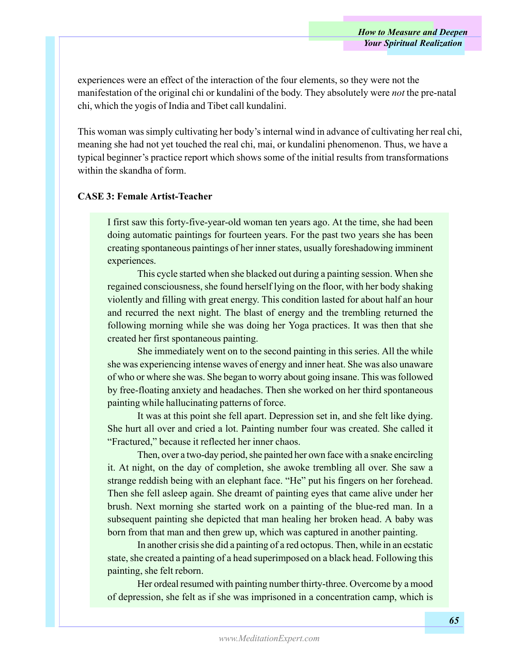experiences were an effect of the interaction of the four elements, so they were not the manifestation of the original chi or kundalini of the body. They absolutely were *not* the pre-natal chi, which the yogis of India and Tibet call kundalini.

This woman was simply cultivating her body's internal wind in advance of cultivating her real chi, meaning she had not yet touched the real chi, mai, or kundalini phenomenon. Thus, we have a typical beginner's practice report which shows some of the initial results from transformations within the skandha of form.

#### **CASE 3: Female Artist-Teacher**

I first saw this forty-five-year-old woman ten years ago. At the time, she had been doing automatic paintings for fourteen years. For the past two years she has been creating spontaneous paintings of her inner states, usually foreshadowing imminent experiences.

This cycle started when she blacked out during a painting session. When she regained consciousness, she found herself lying on the floor, with her body shaking violently and filling with great energy. This condition lasted for about half an hour and recurred the next night. The blast of energy and the trembling returned the following morning while she was doing her Yoga practices. It was then that she created her first spontaneous painting.

She immediately went on to the second painting in this series. All the while she was experiencing intense waves of energy and inner heat. She was also unaware of who or where she was. She began to worry about going insane. This was followed by free-floating anxiety and headaches. Then she worked on her third spontaneous painting while hallucinating patterns of force.

It was at this point she fell apart. Depression set in, and she felt like dying. She hurt all over and cried a lot. Painting number four was created. She called it "Fractured," because it reflected her inner chaos.

Then, over a two-day period, she painted her own face with a snake encircling it. At night, on the day of completion, she awoke trembling all over. She saw a strange reddish being with an elephant face. "He" put his fingers on her forehead. Then she fell asleep again. She dreamt of painting eyes that came alive under her brush. Next morning she started work on a painting of the blue-red man. In a subsequent painting she depicted that man healing her broken head. A baby was born from that man and then grew up, which was captured in another painting.

In another crisis she did a painting of a red octopus. Then, while in an ecstatic state, she created a painting of a head superimposed on a black head. Following this painting, she felt reborn.

Her ordeal resumed with painting number thirty-three. Overcome by a mood of depression, she felt as if she was imprisoned in a concentration camp, which is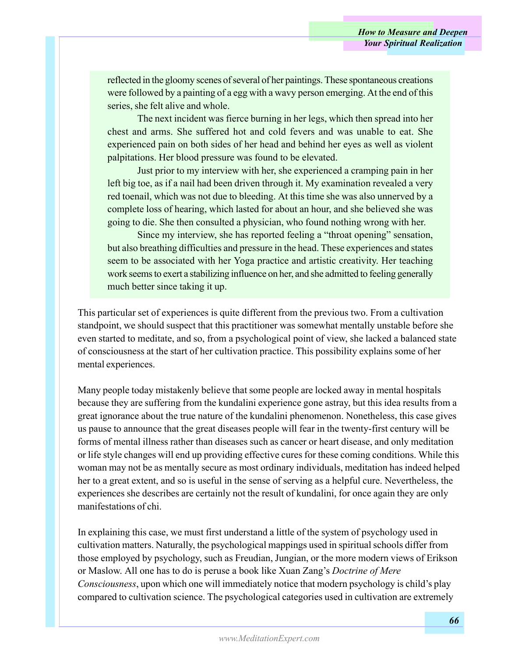reflected in the gloomy scenes of several of her paintings. These spontaneous creations were followed by a painting of a egg with a wavy person emerging. At the end of this series, she felt alive and whole.

The next incident was fierce burning in her legs, which then spread into her chest and arms. She suffered hot and cold fevers and was unable to eat. She experienced pain on both sides of her head and behind her eyes as well as violent palpitations. Her blood pressure was found to be elevated.

Just prior to my interview with her, she experienced a cramping pain in her left big toe, as if a nail had been driven through it. My examination revealed a very red toenail, which was not due to bleeding. At this time she was also unnerved by a complete loss of hearing, which lasted for about an hour, and she believed she was going to die. She then consulted a physician, who found nothing wrong with her.

Since my interview, she has reported feeling a "throat opening" sensation, but also breathing difficulties and pressure in the head. These experiences and states seem to be associated with her Yoga practice and artistic creativity. Her teaching work seems to exert a stabilizing influence on her, and she admitted to feeling generally much better since taking it up.

This particular set of experiences is quite different from the previous two. From a cultivation standpoint, we should suspect that this practitioner was somewhat mentally unstable before she even started to meditate, and so, from a psychological point of view, she lacked a balanced state of consciousness at the start of her cultivation practice. This possibility explains some of her mental experiences.

Many people today mistakenly believe that some people are locked away in mental hospitals because they are suffering from the kundalini experience gone astray, but this idea results from a great ignorance about the true nature of the kundalini phenomenon. Nonetheless, this case gives us pause to announce that the great diseases people will fear in the twenty-first century will be forms of mental illness rather than diseases such as cancer or heart disease, and only meditation or life style changes will end up providing effective cures for these coming conditions. While this woman may not be as mentally secure as most ordinary individuals, meditation has indeed helped her to a great extent, and so is useful in the sense of serving as a helpful cure. Nevertheless, the experiences she describes are certainly not the result of kundalini, for once again they are only manifestations of chi.

In explaining this case, we must first understand a little of the system of psychology used in cultivation matters. Naturally, the psychological mappings used in spiritual schools differ from those employed by psychology, such as Freudian, Jungian, or the more modern views of Erikson or Maslow. All one has to do is peruse a book like Xuan Zangís *Doctrine of Mere Consciousness*, upon which one will immediately notice that modern psychology is child's play compared to cultivation science. The psychological categories used in cultivation are extremely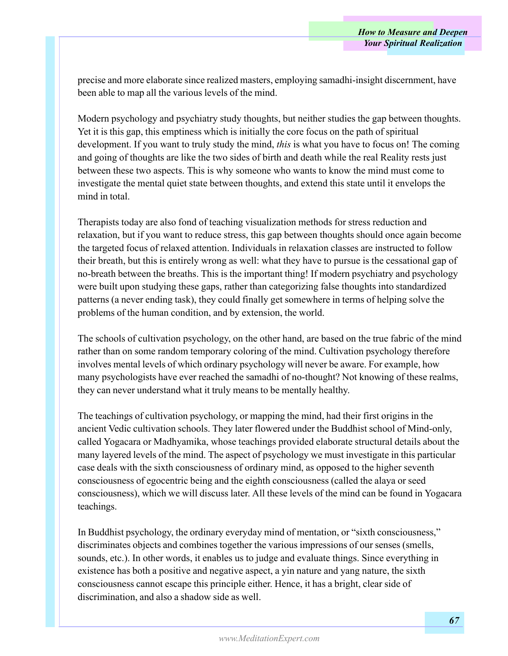precise and more elaborate since realized masters, employing samadhi-insight discernment, have been able to map all the various levels of the mind.

Modern psychology and psychiatry study thoughts, but neither studies the gap between thoughts. Yet it is this gap, this emptiness which is initially the core focus on the path of spiritual development. If you want to truly study the mind, *this* is what you have to focus on! The coming and going of thoughts are like the two sides of birth and death while the real Reality rests just between these two aspects. This is why someone who wants to know the mind must come to investigate the mental quiet state between thoughts, and extend this state until it envelops the mind in total.

Therapists today are also fond of teaching visualization methods for stress reduction and relaxation, but if you want to reduce stress, this gap between thoughts should once again become the targeted focus of relaxed attention. Individuals in relaxation classes are instructed to follow their breath, but this is entirely wrong as well: what they have to pursue is the cessational gap of no-breath between the breaths. This is the important thing! If modern psychiatry and psychology were built upon studying these gaps, rather than categorizing false thoughts into standardized patterns (a never ending task), they could finally get somewhere in terms of helping solve the problems of the human condition, and by extension, the world.

The schools of cultivation psychology, on the other hand, are based on the true fabric of the mind rather than on some random temporary coloring of the mind. Cultivation psychology therefore involves mental levels of which ordinary psychology will never be aware. For example, how many psychologists have ever reached the samadhi of no-thought? Not knowing of these realms, they can never understand what it truly means to be mentally healthy.

The teachings of cultivation psychology, or mapping the mind, had their first origins in the ancient Vedic cultivation schools. They later flowered under the Buddhist school of Mind-only, called Yogacara or Madhyamika, whose teachings provided elaborate structural details about the many layered levels of the mind. The aspect of psychology we must investigate in this particular case deals with the sixth consciousness of ordinary mind, as opposed to the higher seventh consciousness of egocentric being and the eighth consciousness (called the alaya or seed consciousness), which we will discuss later. All these levels of the mind can be found in Yogacara teachings.

In Buddhist psychology, the ordinary everyday mind of mentation, or "sixth consciousness," discriminates objects and combines together the various impressions of our senses (smells, sounds, etc.). In other words, it enables us to judge and evaluate things. Since everything in existence has both a positive and negative aspect, a yin nature and yang nature, the sixth consciousness cannot escape this principle either. Hence, it has a bright, clear side of discrimination, and also a shadow side as well.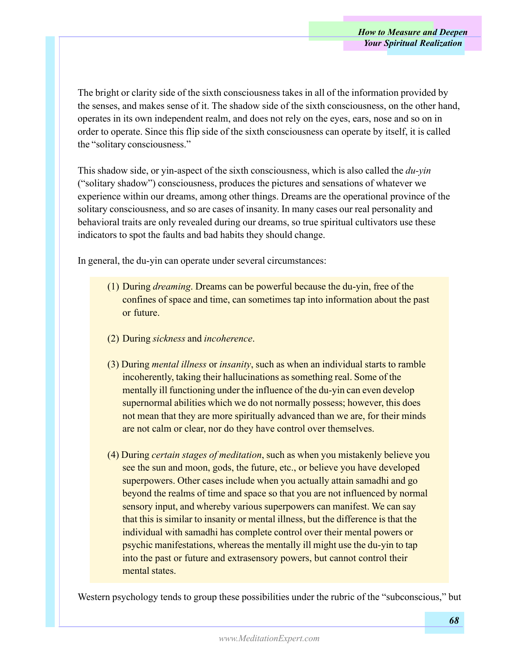The bright or clarity side of the sixth consciousness takes in all of the information provided by the senses, and makes sense of it. The shadow side of the sixth consciousness, on the other hand, operates in its own independent realm, and does not rely on the eyes, ears, nose and so on in order to operate. Since this flip side of the sixth consciousness can operate by itself, it is called the "solitary consciousness."

This shadow side, or yin-aspect of the sixth consciousness, which is also called the *du-yin* ("solitary shadow") consciousness, produces the pictures and sensations of whatever we experience within our dreams, among other things. Dreams are the operational province of the solitary consciousness, and so are cases of insanity. In many cases our real personality and behavioral traits are only revealed during our dreams, so true spiritual cultivators use these indicators to spot the faults and bad habits they should change.

In general, the du-yin can operate under several circumstances:

- (1) During *dreaming*. Dreams can be powerful because the du-yin, free of the confines of space and time, can sometimes tap into information about the past or future.
- (2) During *sickness* and *incoherence*.
- (3) During *mental illness* or *insanity*, such as when an individual starts to ramble incoherently, taking their hallucinations as something real. Some of the mentally ill functioning under the influence of the du-yin can even develop supernormal abilities which we do not normally possess; however, this does not mean that they are more spiritually advanced than we are, for their minds are not calm or clear, nor do they have control over themselves.
- (4) During *certain stages of meditation*, such as when you mistakenly believe you see the sun and moon, gods, the future, etc., or believe you have developed superpowers. Other cases include when you actually attain samadhi and go beyond the realms of time and space so that you are not influenced by normal sensory input, and whereby various superpowers can manifest. We can say that this is similar to insanity or mental illness, but the difference is that the individual with samadhi has complete control over their mental powers or psychic manifestations, whereas the mentally ill might use the du-yin to tap into the past or future and extrasensory powers, but cannot control their mental states.

Western psychology tends to group these possibilities under the rubric of the "subconscious," but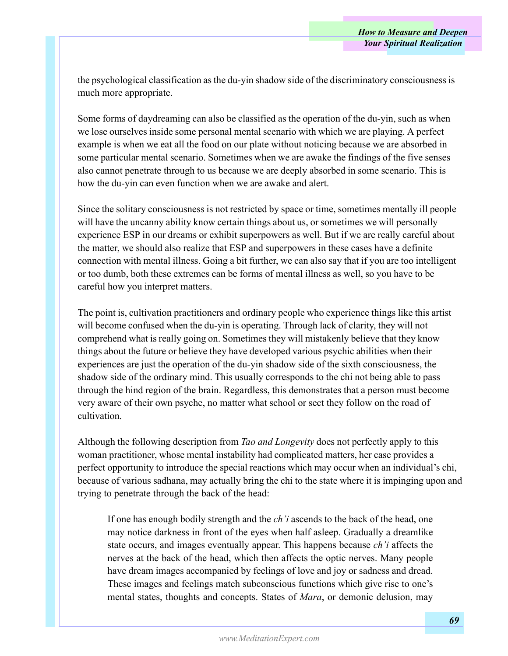the psychological classification as the du-yin shadow side of the discriminatory consciousness is much more appropriate.

Some forms of daydreaming can also be classified as the operation of the du-yin, such as when we lose ourselves inside some personal mental scenario with which we are playing. A perfect example is when we eat all the food on our plate without noticing because we are absorbed in some particular mental scenario. Sometimes when we are awake the findings of the five senses also cannot penetrate through to us because we are deeply absorbed in some scenario. This is how the du-yin can even function when we are awake and alert.

Since the solitary consciousness is not restricted by space or time, sometimes mentally ill people will have the uncanny ability know certain things about us, or sometimes we will personally experience ESP in our dreams or exhibit superpowers as well. But if we are really careful about the matter, we should also realize that ESP and superpowers in these cases have a definite connection with mental illness. Going a bit further, we can also say that if you are too intelligent or too dumb, both these extremes can be forms of mental illness as well, so you have to be careful how you interpret matters.

The point is, cultivation practitioners and ordinary people who experience things like this artist will become confused when the du-yin is operating. Through lack of clarity, they will not comprehend what is really going on. Sometimes they will mistakenly believe that they know things about the future or believe they have developed various psychic abilities when their experiences are just the operation of the du-yin shadow side of the sixth consciousness, the shadow side of the ordinary mind. This usually corresponds to the chi not being able to pass through the hind region of the brain. Regardless, this demonstrates that a person must become very aware of their own psyche, no matter what school or sect they follow on the road of cultivation.

Although the following description from *Tao and Longevity* does not perfectly apply to this woman practitioner, whose mental instability had complicated matters, her case provides a perfect opportunity to introduce the special reactions which may occur when an individual's chi, because of various sadhana, may actually bring the chi to the state where it is impinging upon and trying to penetrate through the back of the head:

If one has enough bodily strength and the *ch'i* ascends to the back of the head, one may notice darkness in front of the eyes when half asleep. Gradually a dreamlike state occurs, and images eventually appear. This happens because *ch'i* affects the nerves at the back of the head, which then affects the optic nerves. Many people have dream images accompanied by feelings of love and joy or sadness and dread. These images and feelings match subconscious functions which give rise to one's mental states, thoughts and concepts. States of *Mara*, or demonic delusion, may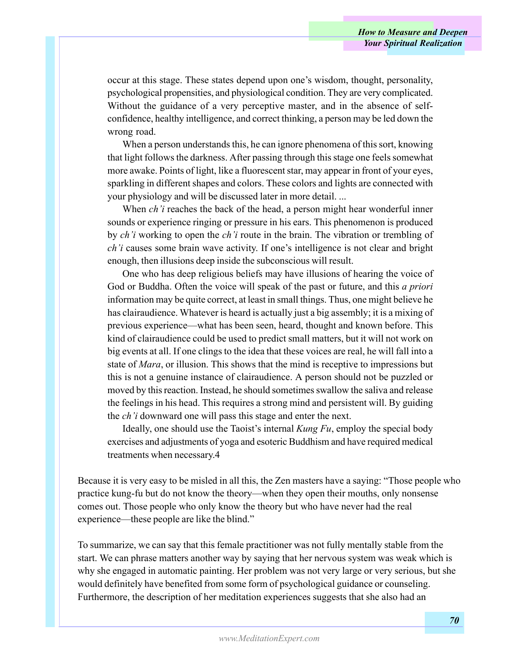occur at this stage. These states depend upon one's wisdom, thought, personality, psychological propensities, and physiological condition. They are very complicated. Without the guidance of a very perceptive master, and in the absence of selfconfidence, healthy intelligence, and correct thinking, a person may be led down the wrong road.

When a person understands this, he can ignore phenomena of this sort, knowing that light follows the darkness. After passing through this stage one feels somewhat more awake. Points of light, like a fluorescent star, may appear in front of your eyes, sparkling in different shapes and colors. These colors and lights are connected with your physiology and will be discussed later in more detail. ...

When *ch'i* reaches the back of the head, a person might hear wonderful inner sounds or experience ringing or pressure in his ears. This phenomenon is produced by *ch'i* working to open the *ch'i* route in the brain. The vibration or trembling of *ch'i* causes some brain wave activity. If one's intelligence is not clear and bright enough, then illusions deep inside the subconscious will result.

One who has deep religious beliefs may have illusions of hearing the voice of God or Buddha. Often the voice will speak of the past or future, and this *a priori* information may be quite correct, at least in small things. Thus, one might believe he has clairaudience. Whatever is heard is actually just a big assembly; it is a mixing of previous experience—what has been seen, heard, thought and known before. This kind of clairaudience could be used to predict small matters, but it will not work on big events at all. If one clings to the idea that these voices are real, he will fall into a state of *Mara*, or illusion. This shows that the mind is receptive to impressions but this is not a genuine instance of clairaudience. A person should not be puzzled or moved by this reaction. Instead, he should sometimes swallow the saliva and release the feelings in his head. This requires a strong mind and persistent will. By guiding the *ch'i* downward one will pass this stage and enter the next.

Ideally, one should use the Taoist's internal *Kung Fu*, employ the special body exercises and adjustments of yoga and esoteric Buddhism and have required medical treatments when necessary.4

Because it is very easy to be misled in all this, the Zen masters have a saying: "Those people who practice kung-fu but do not know the theory—when they open their mouths, only nonsense comes out. Those people who only know the theory but who have never had the real experience—these people are like the blind."

To summarize, we can say that this female practitioner was not fully mentally stable from the start. We can phrase matters another way by saying that her nervous system was weak which is why she engaged in automatic painting. Her problem was not very large or very serious, but she would definitely have benefited from some form of psychological guidance or counseling. Furthermore, the description of her meditation experiences suggests that she also had an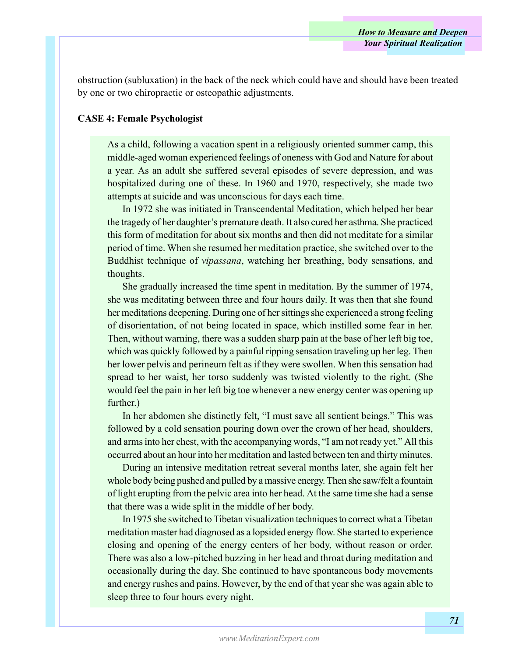obstruction (subluxation) in the back of the neck which could have and should have been treated by one or two chiropractic or osteopathic adjustments.

#### **CASE 4: Female Psychologist**

As a child, following a vacation spent in a religiously oriented summer camp, this middle-aged woman experienced feelings of oneness with God and Nature for about a year. As an adult she suffered several episodes of severe depression, and was hospitalized during one of these. In 1960 and 1970, respectively, she made two attempts at suicide and was unconscious for days each time.

In 1972 she was initiated in Transcendental Meditation, which helped her bear the tragedy of her daughter's premature death. It also cured her asthma. She practiced this form of meditation for about six months and then did not meditate for a similar period of time. When she resumed her meditation practice, she switched over to the Buddhist technique of *vipassana*, watching her breathing, body sensations, and thoughts.

She gradually increased the time spent in meditation. By the summer of 1974, she was meditating between three and four hours daily. It was then that she found her meditations deepening. During one of her sittings she experienced a strong feeling of disorientation, of not being located in space, which instilled some fear in her. Then, without warning, there was a sudden sharp pain at the base of her left big toe, which was quickly followed by a painful ripping sensation traveling up her leg. Then her lower pelvis and perineum felt as if they were swollen. When this sensation had spread to her waist, her torso suddenly was twisted violently to the right. (She would feel the pain in her left big toe whenever a new energy center was opening up further.)

In her abdomen she distinctly felt, "I must save all sentient beings." This was followed by a cold sensation pouring down over the crown of her head, shoulders, and arms into her chest, with the accompanying words, "I am not ready yet." All this occurred about an hour into her meditation and lasted between ten and thirty minutes.

During an intensive meditation retreat several months later, she again felt her whole body being pushed and pulled by a massive energy. Then she saw/felt a fountain of light erupting from the pelvic area into her head. At the same time she had a sense that there was a wide split in the middle of her body.

In 1975 she switched to Tibetan visualization techniques to correct what a Tibetan meditation master had diagnosed as a lopsided energy flow. She started to experience closing and opening of the energy centers of her body, without reason or order. There was also a low-pitched buzzing in her head and throat during meditation and occasionally during the day. She continued to have spontaneous body movements and energy rushes and pains. However, by the end of that year she was again able to sleep three to four hours every night.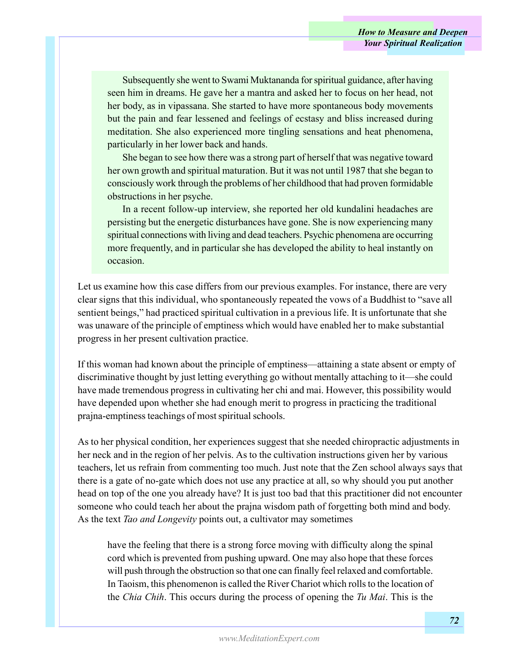Subsequently she went to Swami Muktananda for spiritual guidance, after having seen him in dreams. He gave her a mantra and asked her to focus on her head, not her body, as in vipassana. She started to have more spontaneous body movements but the pain and fear lessened and feelings of ecstasy and bliss increased during meditation. She also experienced more tingling sensations and heat phenomena, particularly in her lower back and hands.

She began to see how there was a strong part of herself that was negative toward her own growth and spiritual maturation. But it was not until 1987 that she began to consciously work through the problems of her childhood that had proven formidable obstructions in her psyche.

In a recent follow-up interview, she reported her old kundalini headaches are persisting but the energetic disturbances have gone. She is now experiencing many spiritual connections with living and dead teachers. Psychic phenomena are occurring more frequently, and in particular she has developed the ability to heal instantly on occasion.

Let us examine how this case differs from our previous examples. For instance, there are very clear signs that this individual, who spontaneously repeated the vows of a Buddhist to "save all sentient beings," had practiced spiritual cultivation in a previous life. It is unfortunate that she was unaware of the principle of emptiness which would have enabled her to make substantial progress in her present cultivation practice.

If this woman had known about the principle of emptiness—attaining a state absent or empty of discriminative thought by just letting everything go without mentally attaching to it—she could have made tremendous progress in cultivating her chi and mai. However, this possibility would have depended upon whether she had enough merit to progress in practicing the traditional prajna-emptiness teachings of most spiritual schools.

As to her physical condition, her experiences suggest that she needed chiropractic adjustments in her neck and in the region of her pelvis. As to the cultivation instructions given her by various teachers, let us refrain from commenting too much. Just note that the Zen school always says that there is a gate of no-gate which does not use any practice at all, so why should you put another head on top of the one you already have? It is just too bad that this practitioner did not encounter someone who could teach her about the prajna wisdom path of forgetting both mind and body. As the text *Tao and Longevity* points out, a cultivator may sometimes

have the feeling that there is a strong force moving with difficulty along the spinal cord which is prevented from pushing upward. One may also hope that these forces will push through the obstruction so that one can finally feel relaxed and comfortable. In Taoism, this phenomenon is called the River Chariot which rolls to the location of the *Chia Chih*. This occurs during the process of opening the *Tu Mai*. This is the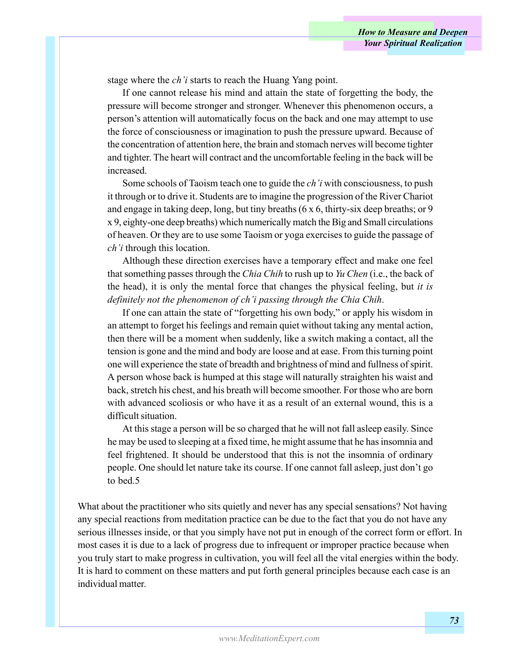stage where the *ch'i* starts to reach the Huang Yang point.

If one cannot release his mind and attain the state of forgetting the body, the pressure will become stronger and stronger. Whenever this phenomenon occurs, a person's attention will automatically focus on the back and one may attempt to use the force of consciousness or imagination to push the pressure upward. Because of the concentration of attention here, the brain and stomach nerves will become tighter and tighter. The heart will contract and the uncomfortable feeling in the back will be increased.

Some schools of Taoism teach one to guide the *ch'i* with consciousness, to push it through or to drive it. Students are to imagine the progression of the River Chariot and engage in taking deep, long, but tiny breaths (6 x 6, thirty-six deep breaths; or 9 x 9, eighty-one deep breaths) which numerically match the Big and Small circulations of heaven. Or they are to use some Taoism or yoga exercises to guide the passage of *ch'i* through this location.

Although these direction exercises have a temporary effect and make one feel that something passes through the *Chia Chih* to rush up to *Yu Chen* (i.e., the back of the head), it is only the mental force that changes the physical feeling, but *it is definitely not the phenomenon of chíi passing through the Chia Chih*.

If one can attain the state of "forgetting his own body," or apply his wisdom in an attempt to forget his feelings and remain quiet without taking any mental action, then there will be a moment when suddenly, like a switch making a contact, all the tension is gone and the mind and body are loose and at ease. From this turning point one will experience the state of breadth and brightness of mind and fullness of spirit. A person whose back is humped at this stage will naturally straighten his waist and back, stretch his chest, and his breath will become smoother. For those who are born with advanced scoliosis or who have it as a result of an external wound, this is a difficult situation.

At this stage a person will be so charged that he will not fall asleep easily. Since he may be used to sleeping at a fixed time, he might assume that he has insomnia and feel frightened. It should be understood that this is not the insomnia of ordinary people. One should let nature take its course. If one cannot fall asleep, just don't go to bed.5

What about the practitioner who sits quietly and never has any special sensations? Not having any special reactions from meditation practice can be due to the fact that you do not have any serious illnesses inside, or that you simply have not put in enough of the correct form or effort. In most cases it is due to a lack of progress due to infrequent or improper practice because when you truly start to make progress in cultivation, you will feel all the vital energies within the body. It is hard to comment on these matters and put forth general principles because each case is an individual matter.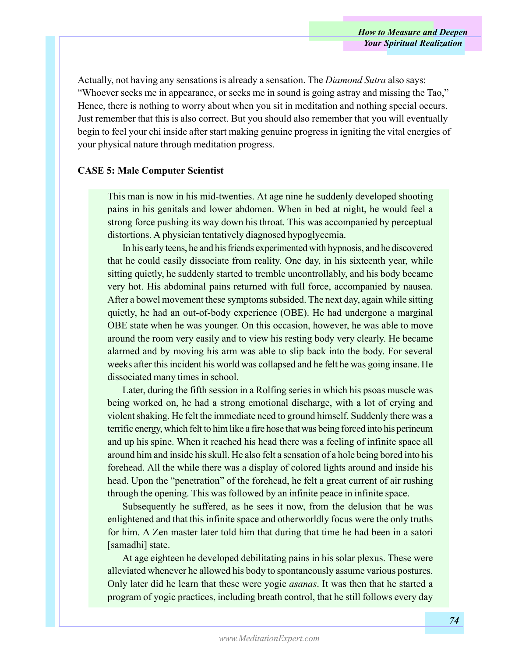Actually, not having any sensations is already a sensation. The *Diamond Sutra* also says: "Whoever seeks me in appearance, or seeks me in sound is going astray and missing the Tao," Hence, there is nothing to worry about when you sit in meditation and nothing special occurs. Just remember that this is also correct. But you should also remember that you will eventually begin to feel your chi inside after start making genuine progress in igniting the vital energies of your physical nature through meditation progress.

#### **CASE 5: Male Computer Scientist**

This man is now in his mid-twenties. At age nine he suddenly developed shooting pains in his genitals and lower abdomen. When in bed at night, he would feel a strong force pushing its way down his throat. This was accompanied by perceptual distortions. A physician tentatively diagnosed hypoglycemia.

In his early teens, he and his friends experimented with hypnosis, and he discovered that he could easily dissociate from reality. One day, in his sixteenth year, while sitting quietly, he suddenly started to tremble uncontrollably, and his body became very hot. His abdominal pains returned with full force, accompanied by nausea. After a bowel movement these symptoms subsided. The next day, again while sitting quietly, he had an out-of-body experience (OBE). He had undergone a marginal OBE state when he was younger. On this occasion, however, he was able to move around the room very easily and to view his resting body very clearly. He became alarmed and by moving his arm was able to slip back into the body. For several weeks after this incident his world was collapsed and he felt he was going insane. He dissociated many times in school.

Later, during the fifth session in a Rolfing series in which his psoas muscle was being worked on, he had a strong emotional discharge, with a lot of crying and violent shaking. He felt the immediate need to ground himself. Suddenly there was a terrific energy, which felt to him like a fire hose that was being forced into his perineum and up his spine. When it reached his head there was a feeling of infinite space all around him and inside his skull. He also felt a sensation of a hole being bored into his forehead. All the while there was a display of colored lights around and inside his head. Upon the "penetration" of the forehead, he felt a great current of air rushing through the opening. This was followed by an infinite peace in infinite space.

Subsequently he suffered, as he sees it now, from the delusion that he was enlightened and that this infinite space and otherworldly focus were the only truths for him. A Zen master later told him that during that time he had been in a satori [samadhi] state.

At age eighteen he developed debilitating pains in his solar plexus. These were alleviated whenever he allowed his body to spontaneously assume various postures. Only later did he learn that these were yogic *asanas*. It was then that he started a program of yogic practices, including breath control, that he still follows every day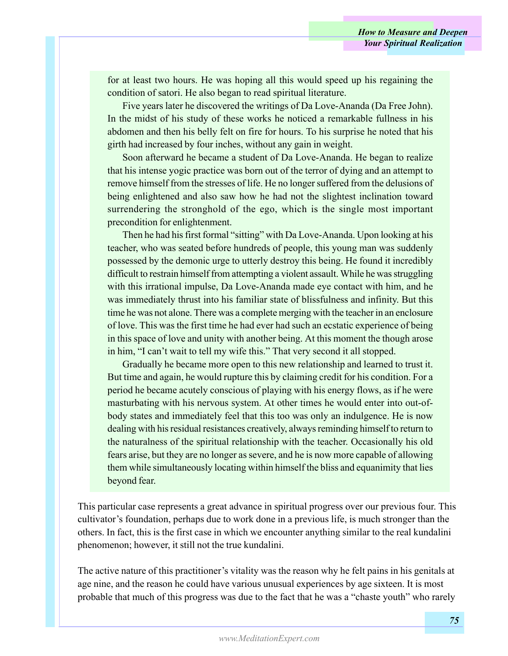for at least two hours. He was hoping all this would speed up his regaining the condition of satori. He also began to read spiritual literature.

Five years later he discovered the writings of Da Love-Ananda (Da Free John). In the midst of his study of these works he noticed a remarkable fullness in his abdomen and then his belly felt on fire for hours. To his surprise he noted that his girth had increased by four inches, without any gain in weight.

Soon afterward he became a student of Da Love-Ananda. He began to realize that his intense yogic practice was born out of the terror of dying and an attempt to remove himself from the stresses of life. He no longer suffered from the delusions of being enlightened and also saw how he had not the slightest inclination toward surrendering the stronghold of the ego, which is the single most important precondition for enlightenment.

Then he had his first formal "sitting" with Da Love-Ananda. Upon looking at his teacher, who was seated before hundreds of people, this young man was suddenly possessed by the demonic urge to utterly destroy this being. He found it incredibly difficult to restrain himself from attempting a violent assault. While he was struggling with this irrational impulse, Da Love-Ananda made eye contact with him, and he was immediately thrust into his familiar state of blissfulness and infinity. But this time he was not alone. There was a complete merging with the teacher in an enclosure of love. This was the first time he had ever had such an ecstatic experience of being in this space of love and unity with another being. At this moment the though arose in him, "I can't wait to tell my wife this." That very second it all stopped.

Gradually he became more open to this new relationship and learned to trust it. But time and again, he would rupture this by claiming credit for his condition. For a period he became acutely conscious of playing with his energy flows, as if he were masturbating with his nervous system. At other times he would enter into out-ofbody states and immediately feel that this too was only an indulgence. He is now dealing with his residual resistances creatively, always reminding himself to return to the naturalness of the spiritual relationship with the teacher. Occasionally his old fears arise, but they are no longer as severe, and he is now more capable of allowing them while simultaneously locating within himself the bliss and equanimity that lies beyond fear.

This particular case represents a great advance in spiritual progress over our previous four. This cultivator's foundation, perhaps due to work done in a previous life, is much stronger than the others. In fact, this is the first case in which we encounter anything similar to the real kundalini phenomenon; however, it still not the true kundalini.

The active nature of this practitioner's vitality was the reason why he felt pains in his genitals at age nine, and the reason he could have various unusual experiences by age sixteen. It is most probable that much of this progress was due to the fact that he was a "chaste youth" who rarely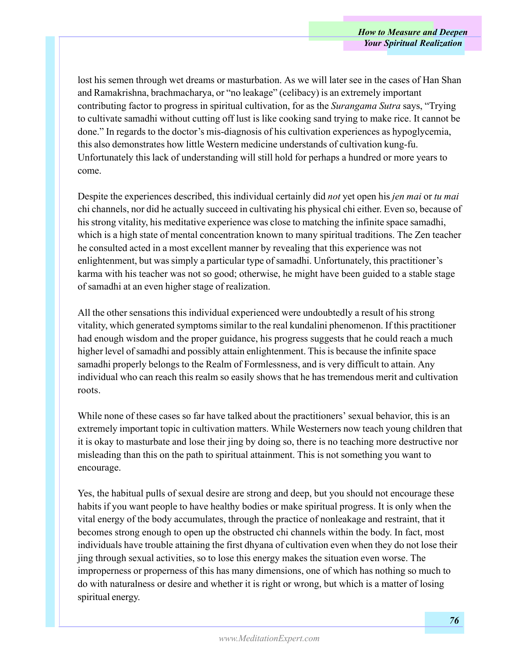lost his semen through wet dreams or masturbation. As we will later see in the cases of Han Shan and Ramakrishna, brachmacharya, or "no leakage" (celibacy) is an extremely important contributing factor to progress in spiritual cultivation, for as the *Surangama Sutra* says, "Trying" to cultivate samadhi without cutting off lust is like cooking sand trying to make rice. It cannot be done." In regards to the doctor's mis-diagnosis of his cultivation experiences as hypoglycemia, this also demonstrates how little Western medicine understands of cultivation kung-fu. Unfortunately this lack of understanding will still hold for perhaps a hundred or more years to come.

Despite the experiences described, this individual certainly did *not* yet open his *jen mai* or *tu mai* chi channels, nor did he actually succeed in cultivating his physical chi either. Even so, because of his strong vitality, his meditative experience was close to matching the infinite space samadhi, which is a high state of mental concentration known to many spiritual traditions. The Zen teacher he consulted acted in a most excellent manner by revealing that this experience was not enlightenment, but was simply a particular type of samadhi. Unfortunately, this practitioner's karma with his teacher was not so good; otherwise, he might have been guided to a stable stage of samadhi at an even higher stage of realization.

All the other sensations this individual experienced were undoubtedly a result of his strong vitality, which generated symptoms similar to the real kundalini phenomenon. If this practitioner had enough wisdom and the proper guidance, his progress suggests that he could reach a much higher level of samadhi and possibly attain enlightenment. This is because the infinite space samadhi properly belongs to the Realm of Formlessness, and is very difficult to attain. Any individual who can reach this realm so easily shows that he has tremendous merit and cultivation roots.

While none of these cases so far have talked about the practitioners' sexual behavior, this is an extremely important topic in cultivation matters. While Westerners now teach young children that it is okay to masturbate and lose their jing by doing so, there is no teaching more destructive nor misleading than this on the path to spiritual attainment. This is not something you want to encourage.

Yes, the habitual pulls of sexual desire are strong and deep, but you should not encourage these habits if you want people to have healthy bodies or make spiritual progress. It is only when the vital energy of the body accumulates, through the practice of nonleakage and restraint, that it becomes strong enough to open up the obstructed chi channels within the body. In fact, most individuals have trouble attaining the first dhyana of cultivation even when they do not lose their jing through sexual activities, so to lose this energy makes the situation even worse. The improperness or properness of this has many dimensions, one of which has nothing so much to do with naturalness or desire and whether it is right or wrong, but which is a matter of losing spiritual energy.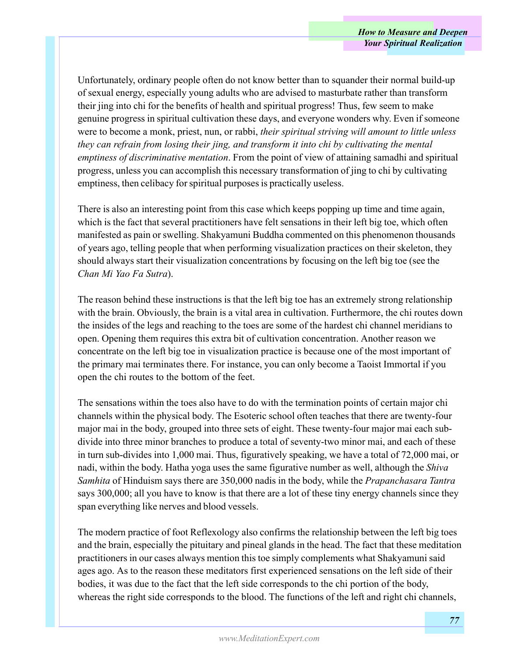Unfortunately, ordinary people often do not know better than to squander their normal build-up of sexual energy, especially young adults who are advised to masturbate rather than transform their jing into chi for the benefits of health and spiritual progress! Thus, few seem to make genuine progress in spiritual cultivation these days, and everyone wonders why. Even if someone were to become a monk, priest, nun, or rabbi, *their spiritual striving will amount to little unless they can refrain from losing their jing, and transform it into chi by cultivating the mental emptiness of discriminative mentation*. From the point of view of attaining samadhi and spiritual progress, unless you can accomplish this necessary transformation of jing to chi by cultivating emptiness, then celibacy for spiritual purposes is practically useless.

There is also an interesting point from this case which keeps popping up time and time again, which is the fact that several practitioners have felt sensations in their left big toe, which often manifested as pain or swelling. Shakyamuni Buddha commented on this phenomenon thousands of years ago, telling people that when performing visualization practices on their skeleton, they should always start their visualization concentrations by focusing on the left big toe (see the *Chan Mi Yao Fa Sutra*).

The reason behind these instructions is that the left big toe has an extremely strong relationship with the brain. Obviously, the brain is a vital area in cultivation. Furthermore, the chi routes down the insides of the legs and reaching to the toes are some of the hardest chi channel meridians to open. Opening them requires this extra bit of cultivation concentration. Another reason we concentrate on the left big toe in visualization practice is because one of the most important of the primary mai terminates there. For instance, you can only become a Taoist Immortal if you open the chi routes to the bottom of the feet.

The sensations within the toes also have to do with the termination points of certain major chi channels within the physical body. The Esoteric school often teaches that there are twenty-four major mai in the body, grouped into three sets of eight. These twenty-four major mai each subdivide into three minor branches to produce a total of seventy-two minor mai, and each of these in turn sub-divides into 1,000 mai. Thus, figuratively speaking, we have a total of 72,000 mai, or nadi, within the body. Hatha yoga uses the same figurative number as well, although the *Shiva Samhita* of Hinduism says there are 350,000 nadis in the body, while the *Prapanchasara Tantra* says 300,000; all you have to know is that there are a lot of these tiny energy channels since they span everything like nerves and blood vessels.

The modern practice of foot Reflexology also confirms the relationship between the left big toes and the brain, especially the pituitary and pineal glands in the head. The fact that these meditation practitioners in our cases always mention this toe simply complements what Shakyamuni said ages ago. As to the reason these meditators first experienced sensations on the left side of their bodies, it was due to the fact that the left side corresponds to the chi portion of the body, whereas the right side corresponds to the blood. The functions of the left and right chi channels,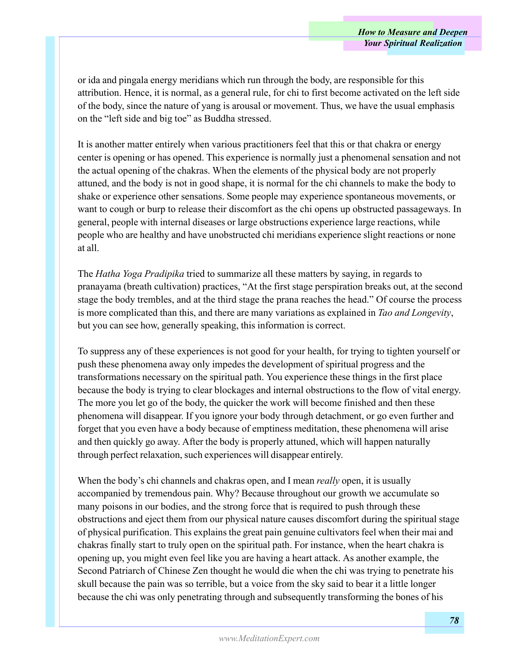or ida and pingala energy meridians which run through the body, are responsible for this attribution. Hence, it is normal, as a general rule, for chi to first become activated on the left side of the body, since the nature of yang is arousal or movement. Thus, we have the usual emphasis on the "left side and big toe" as Buddha stressed.

It is another matter entirely when various practitioners feel that this or that chakra or energy center is opening or has opened. This experience is normally just a phenomenal sensation and not the actual opening of the chakras. When the elements of the physical body are not properly attuned, and the body is not in good shape, it is normal for the chi channels to make the body to shake or experience other sensations. Some people may experience spontaneous movements, or want to cough or burp to release their discomfort as the chi opens up obstructed passageways. In general, people with internal diseases or large obstructions experience large reactions, while people who are healthy and have unobstructed chi meridians experience slight reactions or none at all.

The *Hatha Yoga Pradipika* tried to summarize all these matters by saying, in regards to pranayama (breath cultivation) practices, "At the first stage perspiration breaks out, at the second stage the body trembles, and at the third stage the prana reaches the head." Of course the process is more complicated than this, and there are many variations as explained in *Tao and Longevity*, but you can see how, generally speaking, this information is correct.

To suppress any of these experiences is not good for your health, for trying to tighten yourself or push these phenomena away only impedes the development of spiritual progress and the transformations necessary on the spiritual path. You experience these things in the first place because the body is trying to clear blockages and internal obstructions to the flow of vital energy. The more you let go of the body, the quicker the work will become finished and then these phenomena will disappear. If you ignore your body through detachment, or go even further and forget that you even have a body because of emptiness meditation, these phenomena will arise and then quickly go away. After the body is properly attuned, which will happen naturally through perfect relaxation, such experiences will disappear entirely.

When the body's chi channels and chakras open, and I mean *really* open, it is usually accompanied by tremendous pain. Why? Because throughout our growth we accumulate so many poisons in our bodies, and the strong force that is required to push through these obstructions and eject them from our physical nature causes discomfort during the spiritual stage of physical purification. This explains the great pain genuine cultivators feel when their mai and chakras finally start to truly open on the spiritual path. For instance, when the heart chakra is opening up, you might even feel like you are having a heart attack. As another example, the Second Patriarch of Chinese Zen thought he would die when the chi was trying to penetrate his skull because the pain was so terrible, but a voice from the sky said to bear it a little longer because the chi was only penetrating through and subsequently transforming the bones of his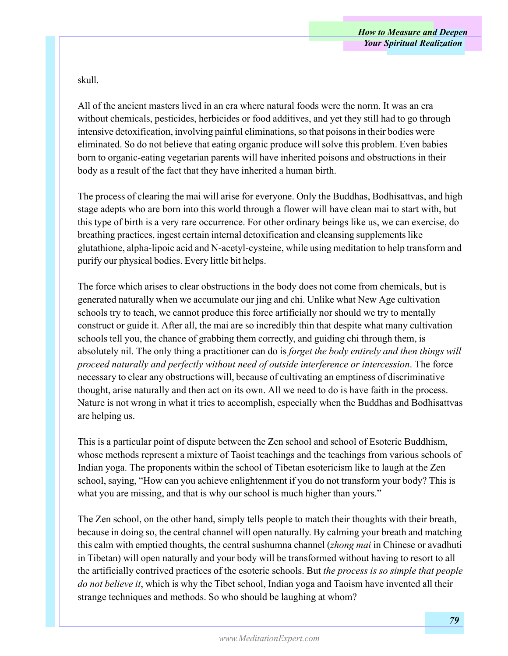skull.

All of the ancient masters lived in an era where natural foods were the norm. It was an era without chemicals, pesticides, herbicides or food additives, and yet they still had to go through intensive detoxification, involving painful eliminations, so that poisons in their bodies were eliminated. So do not believe that eating organic produce will solve this problem. Even babies born to organic-eating vegetarian parents will have inherited poisons and obstructions in their body as a result of the fact that they have inherited a human birth.

The process of clearing the mai will arise for everyone. Only the Buddhas, Bodhisattvas, and high stage adepts who are born into this world through a flower will have clean mai to start with, but this type of birth is a very rare occurrence. For other ordinary beings like us, we can exercise, do breathing practices, ingest certain internal detoxification and cleansing supplements like glutathione, alpha-lipoic acid and N-acetyl-cysteine, while using meditation to help transform and purify our physical bodies. Every little bit helps.

The force which arises to clear obstructions in the body does not come from chemicals, but is generated naturally when we accumulate our jing and chi. Unlike what New Age cultivation schools try to teach, we cannot produce this force artificially nor should we try to mentally construct or guide it. After all, the mai are so incredibly thin that despite what many cultivation schools tell you, the chance of grabbing them correctly, and guiding chi through them, is absolutely nil. The only thing a practitioner can do is *forget the body entirely and then things will proceed naturally and perfectly without need of outside interference or intercession*. The force necessary to clear any obstructions will, because of cultivating an emptiness of discriminative thought, arise naturally and then act on its own. All we need to do is have faith in the process. Nature is not wrong in what it tries to accomplish, especially when the Buddhas and Bodhisattvas are helping us.

This is a particular point of dispute between the Zen school and school of Esoteric Buddhism, whose methods represent a mixture of Taoist teachings and the teachings from various schools of Indian yoga. The proponents within the school of Tibetan esotericism like to laugh at the Zen school, saying, "How can you achieve enlightenment if you do not transform your body? This is what you are missing, and that is why our school is much higher than yours."

The Zen school, on the other hand, simply tells people to match their thoughts with their breath, because in doing so, the central channel will open naturally. By calming your breath and matching this calm with emptied thoughts, the central sushumna channel (*zhong mai* in Chinese or avadhuti in Tibetan) will open naturally and your body will be transformed without having to resort to all the artificially contrived practices of the esoteric schools. But *the process is so simple that people do not believe it*, which is why the Tibet school, Indian yoga and Taoism have invented all their strange techniques and methods. So who should be laughing at whom?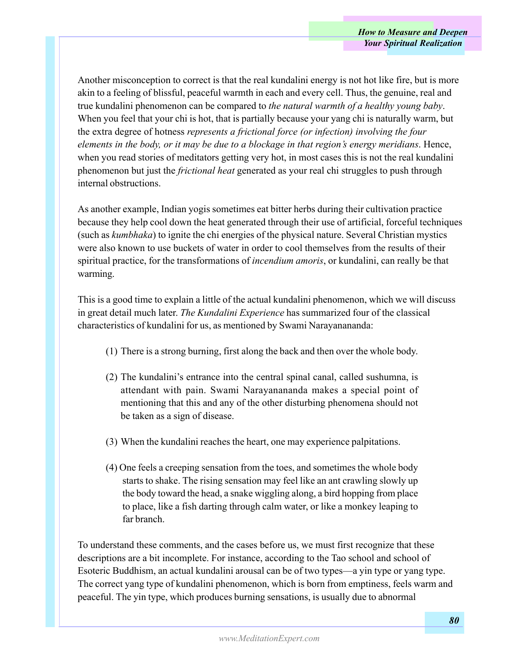Another misconception to correct is that the real kundalini energy is not hot like fire, but is more akin to a feeling of blissful, peaceful warmth in each and every cell. Thus, the genuine, real and true kundalini phenomenon can be compared to *the natural warmth of a healthy young baby*. When you feel that your chi is hot, that is partially because your yang chi is naturally warm, but the extra degree of hotness *represents a frictional force (or infection) involving the four* elements in the body, or it may be due to a blockage in that region's energy meridians. Hence, when you read stories of meditators getting very hot, in most cases this is not the real kundalini phenomenon but just the *frictional heat* generated as your real chi struggles to push through internal obstructions.

As another example, Indian yogis sometimes eat bitter herbs during their cultivation practice because they help cool down the heat generated through their use of artificial, forceful techniques (such as *kumbhaka*) to ignite the chi energies of the physical nature. Several Christian mystics were also known to use buckets of water in order to cool themselves from the results of their spiritual practice, for the transformations of *incendium amoris*, or kundalini, can really be that warming.

This is a good time to explain a little of the actual kundalini phenomenon, which we will discuss in great detail much later. *The Kundalini Experience* has summarized four of the classical characteristics of kundalini for us, as mentioned by Swami Narayanananda:

- (1) There is a strong burning, first along the back and then over the whole body.
- (2) The kundaliniís entrance into the central spinal canal, called sushumna, is attendant with pain. Swami Narayanananda makes a special point of mentioning that this and any of the other disturbing phenomena should not be taken as a sign of disease.
- (3) When the kundalini reaches the heart, one may experience palpitations.
- (4) One feels a creeping sensation from the toes, and sometimes the whole body starts to shake. The rising sensation may feel like an ant crawling slowly up the body toward the head, a snake wiggling along, a bird hopping from place to place, like a fish darting through calm water, or like a monkey leaping to far branch.

To understand these comments, and the cases before us, we must first recognize that these descriptions are a bit incomplete. For instance, according to the Tao school and school of Esoteric Buddhism, an actual kundalini arousal can be of two types—a yin type or yang type. The correct yang type of kundalini phenomenon, which is born from emptiness, feels warm and peaceful. The yin type, which produces burning sensations, is usually due to abnormal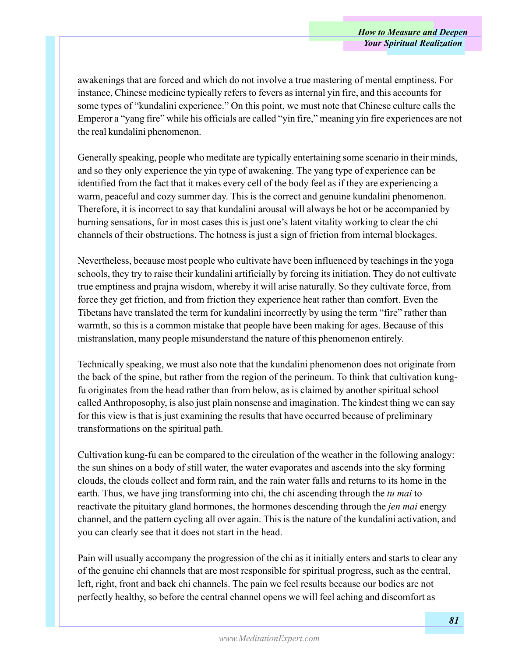awakenings that are forced and which do not involve a true mastering of mental emptiness. For instance, Chinese medicine typically refers to fevers as internal yin fire, and this accounts for some types of "kundalini experience." On this point, we must note that Chinese culture calls the Emperor a "yang fire" while his officials are called "yin fire," meaning yin fire experiences are not the real kundalini phenomenon.

Generally speaking, people who meditate are typically entertaining some scenario in their minds, and so they only experience the yin type of awakening. The yang type of experience can be identified from the fact that it makes every cell of the body feel as if they are experiencing a warm, peaceful and cozy summer day. This is the correct and genuine kundalini phenomenon. Therefore, it is incorrect to say that kundalini arousal will always be hot or be accompanied by burning sensations, for in most cases this is just one's latent vitality working to clear the chi channels of their obstructions. The hotness is just a sign of friction from internal blockages.

Nevertheless, because most people who cultivate have been influenced by teachings in the yoga schools, they try to raise their kundalini artificially by forcing its initiation. They do not cultivate true emptiness and prajna wisdom, whereby it will arise naturally. So they cultivate force, from force they get friction, and from friction they experience heat rather than comfort. Even the Tibetans have translated the term for kundalini incorrectly by using the term "fire" rather than warmth, so this is a common mistake that people have been making for ages. Because of this mistranslation, many people misunderstand the nature of this phenomenon entirely.

Technically speaking, we must also note that the kundalini phenomenon does not originate from the back of the spine, but rather from the region of the perineum. To think that cultivation kungfu originates from the head rather than from below, as is claimed by another spiritual school called Anthroposophy, is also just plain nonsense and imagination. The kindest thing we can say for this view is that is just examining the results that have occurred because of preliminary transformations on the spiritual path.

Cultivation kung-fu can be compared to the circulation of the weather in the following analogy: the sun shines on a body of still water, the water evaporates and ascends into the sky forming clouds, the clouds collect and form rain, and the rain water falls and returns to its home in the earth. Thus, we have jing transforming into chi, the chi ascending through the *tu mai* to reactivate the pituitary gland hormones, the hormones descending through the *jen mai* energy channel, and the pattern cycling all over again. This is the nature of the kundalini activation, and you can clearly see that it does not start in the head.

Pain will usually accompany the progression of the chi as it initially enters and starts to clear any of the genuine chi channels that are most responsible for spiritual progress, such as the central, left, right, front and back chi channels. The pain we feel results because our bodies are not perfectly healthy, so before the central channel opens we will feel aching and discomfort as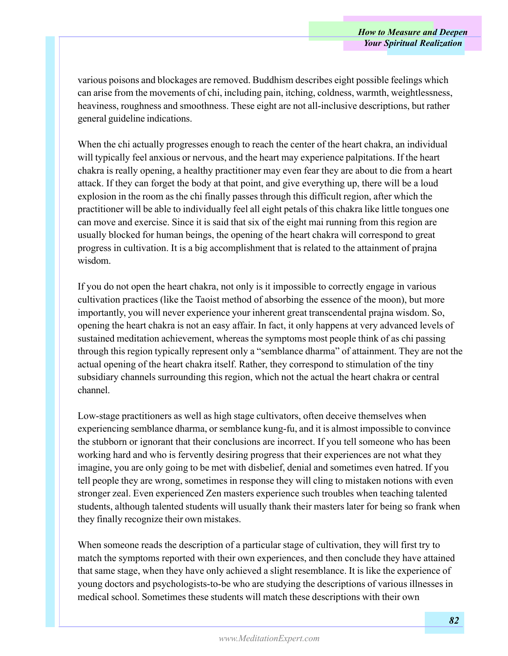various poisons and blockages are removed. Buddhism describes eight possible feelings which can arise from the movements of chi, including pain, itching, coldness, warmth, weightlessness, heaviness, roughness and smoothness. These eight are not all-inclusive descriptions, but rather general guideline indications.

When the chi actually progresses enough to reach the center of the heart chakra, an individual will typically feel anxious or nervous, and the heart may experience palpitations. If the heart chakra is really opening, a healthy practitioner may even fear they are about to die from a heart attack. If they can forget the body at that point, and give everything up, there will be a loud explosion in the room as the chi finally passes through this difficult region, after which the practitioner will be able to individually feel all eight petals of this chakra like little tongues one can move and exercise. Since it is said that six of the eight mai running from this region are usually blocked for human beings, the opening of the heart chakra will correspond to great progress in cultivation. It is a big accomplishment that is related to the attainment of prajna wisdom.

If you do not open the heart chakra, not only is it impossible to correctly engage in various cultivation practices (like the Taoist method of absorbing the essence of the moon), but more importantly, you will never experience your inherent great transcendental prajna wisdom. So, opening the heart chakra is not an easy affair. In fact, it only happens at very advanced levels of sustained meditation achievement, whereas the symptoms most people think of as chi passing through this region typically represent only a "semblance dharma" of attainment. They are not the actual opening of the heart chakra itself. Rather, they correspond to stimulation of the tiny subsidiary channels surrounding this region, which not the actual the heart chakra or central channel.

Low-stage practitioners as well as high stage cultivators, often deceive themselves when experiencing semblance dharma, or semblance kung-fu, and it is almost impossible to convince the stubborn or ignorant that their conclusions are incorrect. If you tell someone who has been working hard and who is fervently desiring progress that their experiences are not what they imagine, you are only going to be met with disbelief, denial and sometimes even hatred. If you tell people they are wrong, sometimes in response they will cling to mistaken notions with even stronger zeal. Even experienced Zen masters experience such troubles when teaching talented students, although talented students will usually thank their masters later for being so frank when they finally recognize their own mistakes.

When someone reads the description of a particular stage of cultivation, they will first try to match the symptoms reported with their own experiences, and then conclude they have attained that same stage, when they have only achieved a slight resemblance. It is like the experience of young doctors and psychologists-to-be who are studying the descriptions of various illnesses in medical school. Sometimes these students will match these descriptions with their own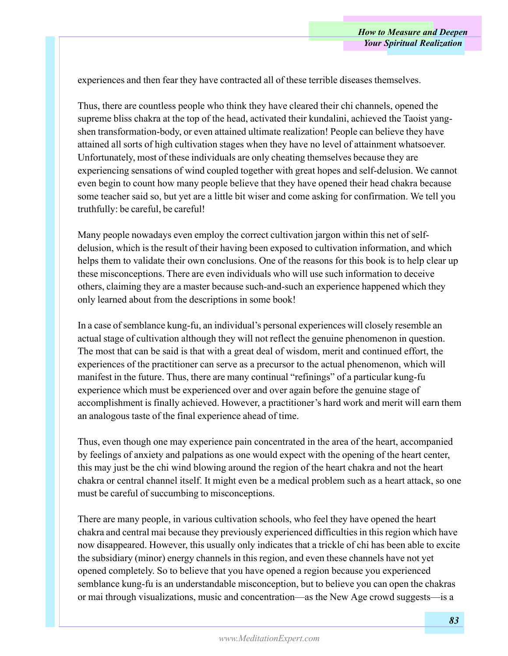experiences and then fear they have contracted all of these terrible diseases themselves.

Thus, there are countless people who think they have cleared their chi channels, opened the supreme bliss chakra at the top of the head, activated their kundalini, achieved the Taoist yangshen transformation-body, or even attained ultimate realization! People can believe they have attained all sorts of high cultivation stages when they have no level of attainment whatsoever. Unfortunately, most of these individuals are only cheating themselves because they are experiencing sensations of wind coupled together with great hopes and self-delusion. We cannot even begin to count how many people believe that they have opened their head chakra because some teacher said so, but yet are a little bit wiser and come asking for confirmation. We tell you truthfully: be careful, be careful!

Many people nowadays even employ the correct cultivation jargon within this net of selfdelusion, which is the result of their having been exposed to cultivation information, and which helps them to validate their own conclusions. One of the reasons for this book is to help clear up these misconceptions. There are even individuals who will use such information to deceive others, claiming they are a master because such-and-such an experience happened which they only learned about from the descriptions in some book!

In a case of semblance kung-fu, an individual's personal experiences will closely resemble an actual stage of cultivation although they will not reflect the genuine phenomenon in question. The most that can be said is that with a great deal of wisdom, merit and continued effort, the experiences of the practitioner can serve as a precursor to the actual phenomenon, which will manifest in the future. Thus, there are many continual "refinings" of a particular kung-fu experience which must be experienced over and over again before the genuine stage of accomplishment is finally achieved. However, a practitioner's hard work and merit will earn them an analogous taste of the final experience ahead of time.

Thus, even though one may experience pain concentrated in the area of the heart, accompanied by feelings of anxiety and palpations as one would expect with the opening of the heart center, this may just be the chi wind blowing around the region of the heart chakra and not the heart chakra or central channel itself. It might even be a medical problem such as a heart attack, so one must be careful of succumbing to misconceptions.

There are many people, in various cultivation schools, who feel they have opened the heart chakra and central mai because they previously experienced difficulties in this region which have now disappeared. However, this usually only indicates that a trickle of chi has been able to excite the subsidiary (minor) energy channels in this region, and even these channels have not yet opened completely. So to believe that you have opened a region because you experienced semblance kung-fu is an understandable misconception, but to believe you can open the chakras or mai through visualizations, music and concentration—as the New Age crowd suggests—is a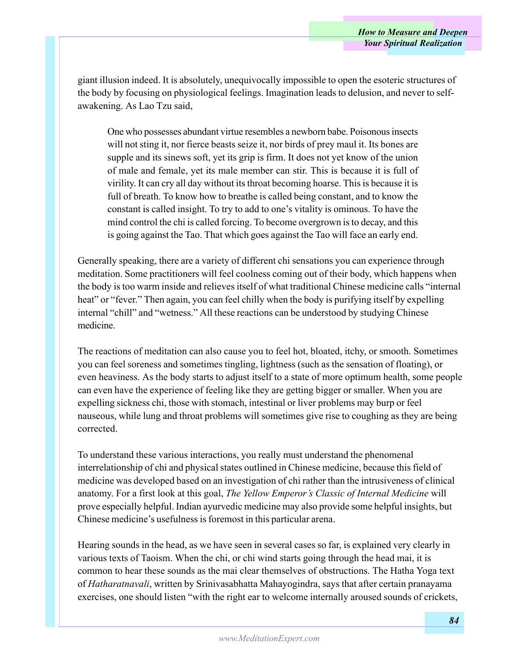giant illusion indeed. It is absolutely, unequivocally impossible to open the esoteric structures of the body by focusing on physiological feelings. Imagination leads to delusion, and never to selfawakening. As Lao Tzu said,

One who possesses abundant virtue resembles a newborn babe. Poisonous insects will not sting it, nor fierce beasts seize it, nor birds of prey maul it. Its bones are supple and its sinews soft, yet its grip is firm. It does not yet know of the union of male and female, yet its male member can stir. This is because it is full of virility. It can cry all day without its throat becoming hoarse. This is because it is full of breath. To know how to breathe is called being constant, and to know the constant is called insight. To try to add to one's vitality is ominous. To have the mind control the chi is called forcing. To become overgrown is to decay, and this is going against the Tao. That which goes against the Tao will face an early end.

Generally speaking, there are a variety of different chi sensations you can experience through meditation. Some practitioners will feel coolness coming out of their body, which happens when the body is too warm inside and relieves itself of what traditional Chinese medicine calls "internal heat" or "fever." Then again, you can feel chilly when the body is purifying itself by expelling internal "chill" and "wetness." All these reactions can be understood by studying Chinese medicine.

The reactions of meditation can also cause you to feel hot, bloated, itchy, or smooth. Sometimes you can feel soreness and sometimes tingling, lightness (such as the sensation of floating), or even heaviness. As the body starts to adjust itself to a state of more optimum health, some people can even have the experience of feeling like they are getting bigger or smaller. When you are expelling sickness chi, those with stomach, intestinal or liver problems may burp or feel nauseous, while lung and throat problems will sometimes give rise to coughing as they are being corrected.

To understand these various interactions, you really must understand the phenomenal interrelationship of chi and physical states outlined in Chinese medicine, because this field of medicine was developed based on an investigation of chi rather than the intrusiveness of clinical anatomy. For a first look at this goal, *The Yellow Emperor's Classic of Internal Medicine* will prove especially helpful. Indian ayurvedic medicine may also provide some helpful insights, but Chinese medicine's usefulness is foremost in this particular arena.

Hearing sounds in the head, as we have seen in several cases so far, is explained very clearly in various texts of Taoism. When the chi, or chi wind starts going through the head mai, it is common to hear these sounds as the mai clear themselves of obstructions. The Hatha Yoga text of *Hatharatnavali*, written by Srinivasabhatta Mahayogindra, says that after certain pranayama exercises, one should listen "with the right ear to welcome internally aroused sounds of crickets,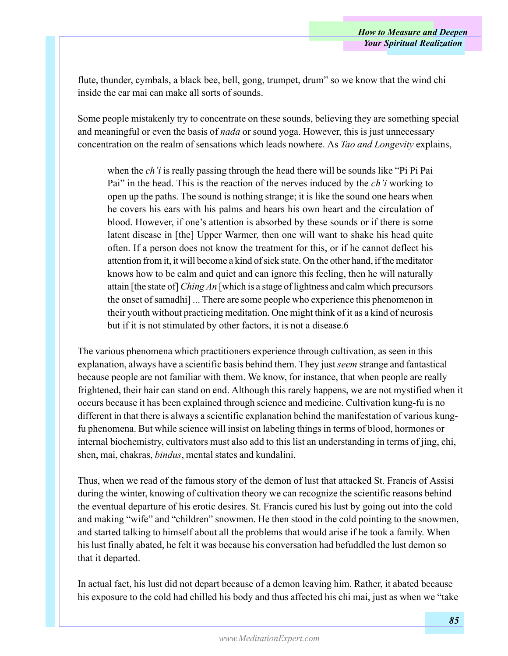flute, thunder, cymbals, a black bee, bell, gong, trumpet, drum" so we know that the wind chi inside the ear mai can make all sorts of sounds.

Some people mistakenly try to concentrate on these sounds, believing they are something special and meaningful or even the basis of *nada* or sound yoga. However, this is just unnecessary concentration on the realm of sensations which leads nowhere. As *Tao and Longevity* explains,

when the *ch'i* is really passing through the head there will be sounds like "Pi Pi Pai Pai<sup>n</sup> in the head. This is the reaction of the nerves induced by the *ch'i* working to open up the paths. The sound is nothing strange; it is like the sound one hears when he covers his ears with his palms and hears his own heart and the circulation of blood. However, if one's attention is absorbed by these sounds or if there is some latent disease in [the] Upper Warmer, then one will want to shake his head quite often. If a person does not know the treatment for this, or if he cannot deflect his attention from it, it will become a kind of sick state. On the other hand, if the meditator knows how to be calm and quiet and can ignore this feeling, then he will naturally attain [the state of] *Ching An* [which is a stage of lightness and calm which precursors the onset of samadhi] ... There are some people who experience this phenomenon in their youth without practicing meditation. One might think of it as a kind of neurosis but if it is not stimulated by other factors, it is not a disease.6

The various phenomena which practitioners experience through cultivation, as seen in this explanation, always have a scientific basis behind them. They just *seem* strange and fantastical because people are not familiar with them. We know, for instance, that when people are really frightened, their hair can stand on end. Although this rarely happens, we are not mystified when it occurs because it has been explained through science and medicine. Cultivation kung-fu is no different in that there is always a scientific explanation behind the manifestation of various kungfu phenomena. But while science will insist on labeling things in terms of blood, hormones or internal biochemistry, cultivators must also add to this list an understanding in terms of jing, chi, shen, mai, chakras, *bindus*, mental states and kundalini.

Thus, when we read of the famous story of the demon of lust that attacked St. Francis of Assisi during the winter, knowing of cultivation theory we can recognize the scientific reasons behind the eventual departure of his erotic desires. St. Francis cured his lust by going out into the cold and making "wife" and "children" snowmen. He then stood in the cold pointing to the snowmen, and started talking to himself about all the problems that would arise if he took a family. When his lust finally abated, he felt it was because his conversation had befuddled the lust demon so that it departed.

In actual fact, his lust did not depart because of a demon leaving him. Rather, it abated because his exposure to the cold had chilled his body and thus affected his chi mai, just as when we "take"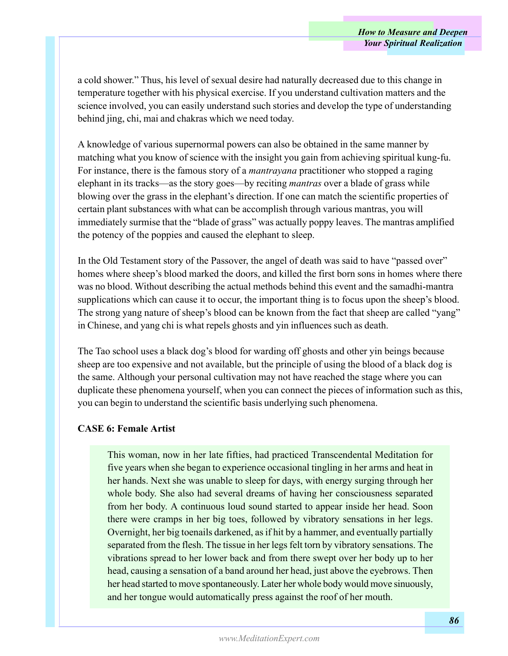a cold shower." Thus, his level of sexual desire had naturally decreased due to this change in temperature together with his physical exercise. If you understand cultivation matters and the science involved, you can easily understand such stories and develop the type of understanding behind jing, chi, mai and chakras which we need today.

A knowledge of various supernormal powers can also be obtained in the same manner by matching what you know of science with the insight you gain from achieving spiritual kung-fu. For instance, there is the famous story of a *mantrayana* practitioner who stopped a raging elephant in its tracks—as the story goes—by reciting *mantras* over a blade of grass while blowing over the grass in the elephant's direction. If one can match the scientific properties of certain plant substances with what can be accomplish through various mantras, you will immediately surmise that the "blade of grass" was actually poppy leaves. The mantras amplified the potency of the poppies and caused the elephant to sleep.

In the Old Testament story of the Passover, the angel of death was said to have "passed over" homes where sheep's blood marked the doors, and killed the first born sons in homes where there was no blood. Without describing the actual methods behind this event and the samadhi-mantra supplications which can cause it to occur, the important thing is to focus upon the sheep's blood. The strong yang nature of sheep's blood can be known from the fact that sheep are called "yang" in Chinese, and yang chi is what repels ghosts and yin influences such as death.

The Tao school uses a black dog's blood for warding off ghosts and other yin beings because sheep are too expensive and not available, but the principle of using the blood of a black dog is the same. Although your personal cultivation may not have reached the stage where you can duplicate these phenomena yourself, when you can connect the pieces of information such as this, you can begin to understand the scientific basis underlying such phenomena.

### **CASE 6: Female Artist**

This woman, now in her late fifties, had practiced Transcendental Meditation for five years when she began to experience occasional tingling in her arms and heat in her hands. Next she was unable to sleep for days, with energy surging through her whole body. She also had several dreams of having her consciousness separated from her body. A continuous loud sound started to appear inside her head. Soon there were cramps in her big toes, followed by vibratory sensations in her legs. Overnight, her big toenails darkened, as if hit by a hammer, and eventually partially separated from the flesh. The tissue in her legs felt torn by vibratory sensations. The vibrations spread to her lower back and from there swept over her body up to her head, causing a sensation of a band around her head, just above the eyebrows. Then her head started to move spontaneously. Later her whole body would move sinuously, and her tongue would automatically press against the roof of her mouth.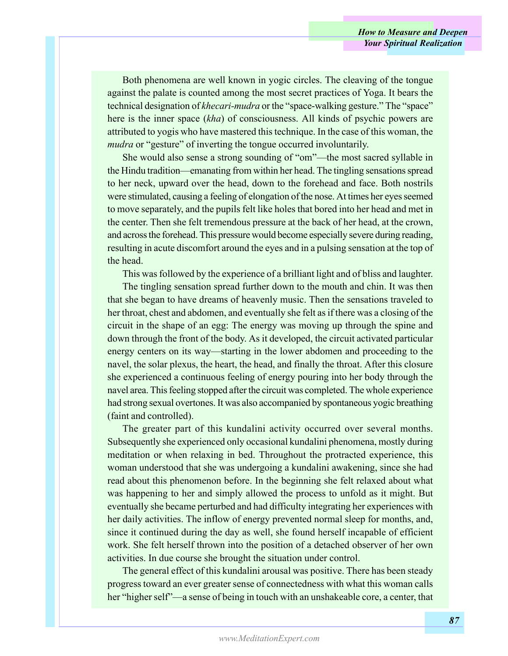Both phenomena are well known in yogic circles. The cleaving of the tongue against the palate is counted among the most secret practices of Yoga. It bears the technical designation of *khecari-mudra* or the "space-walking gesture." The "space" here is the inner space (*kha*) of consciousness. All kinds of psychic powers are attributed to yogis who have mastered this technique. In the case of this woman, the *mudra* or "gesture" of inverting the tongue occurred involuntarily.

She would also sense a strong sounding of "om"—the most sacred syllable in the Hindu tradition—emanating from within her head. The tingling sensations spread to her neck, upward over the head, down to the forehead and face. Both nostrils were stimulated, causing a feeling of elongation of the nose. At times her eyes seemed to move separately, and the pupils felt like holes that bored into her head and met in the center. Then she felt tremendous pressure at the back of her head, at the crown, and across the forehead. This pressure would become especially severe during reading, resulting in acute discomfort around the eyes and in a pulsing sensation at the top of the head.

This was followed by the experience of a brilliant light and of bliss and laughter.

The tingling sensation spread further down to the mouth and chin. It was then that she began to have dreams of heavenly music. Then the sensations traveled to her throat, chest and abdomen, and eventually she felt as if there was a closing of the circuit in the shape of an egg: The energy was moving up through the spine and down through the front of the body. As it developed, the circuit activated particular energy centers on its way—starting in the lower abdomen and proceeding to the navel, the solar plexus, the heart, the head, and finally the throat. After this closure she experienced a continuous feeling of energy pouring into her body through the navel area. This feeling stopped after the circuit was completed. The whole experience had strong sexual overtones. It was also accompanied by spontaneous yogic breathing (faint and controlled).

The greater part of this kundalini activity occurred over several months. Subsequently she experienced only occasional kundalini phenomena, mostly during meditation or when relaxing in bed. Throughout the protracted experience, this woman understood that she was undergoing a kundalini awakening, since she had read about this phenomenon before. In the beginning she felt relaxed about what was happening to her and simply allowed the process to unfold as it might. But eventually she became perturbed and had difficulty integrating her experiences with her daily activities. The inflow of energy prevented normal sleep for months, and, since it continued during the day as well, she found herself incapable of efficient work. She felt herself thrown into the position of a detached observer of her own activities. In due course she brought the situation under control.

The general effect of this kundalini arousal was positive. There has been steady progress toward an ever greater sense of connectedness with what this woman calls her "higher self"—a sense of being in touch with an unshakeable core, a center, that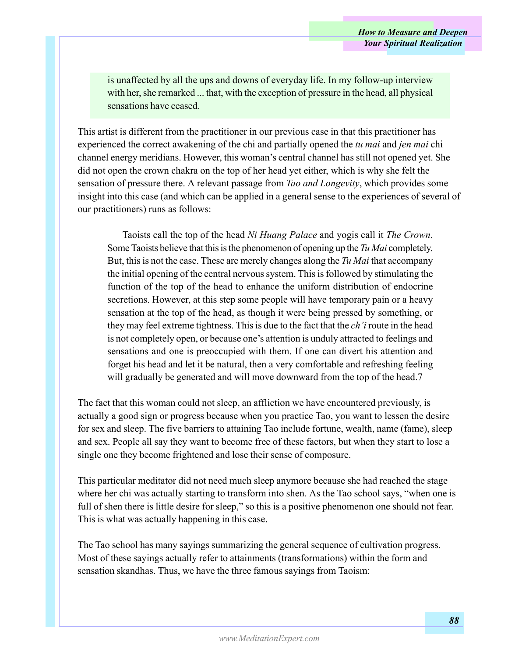is unaffected by all the ups and downs of everyday life. In my follow-up interview with her, she remarked ... that, with the exception of pressure in the head, all physical sensations have ceased.

This artist is different from the practitioner in our previous case in that this practitioner has experienced the correct awakening of the chi and partially opened the *tu mai* and *jen mai* chi channel energy meridians. However, this woman's central channel has still not opened yet. She did not open the crown chakra on the top of her head yet either, which is why she felt the sensation of pressure there. A relevant passage from *Tao and Longevity*, which provides some insight into this case (and which can be applied in a general sense to the experiences of several of our practitioners) runs as follows:

Taoists call the top of the head *Ni Huang Palace* and yogis call it *The Crown*. Some Taoists believe that this is the phenomenon of opening up the *Tu Mai* completely. But, this is not the case. These are merely changes along the *Tu Mai* that accompany the initial opening of the central nervous system. This is followed by stimulating the function of the top of the head to enhance the uniform distribution of endocrine secretions. However, at this step some people will have temporary pain or a heavy sensation at the top of the head, as though it were being pressed by something, or they may feel extreme tightness. This is due to the fact that the *ch'i* route in the head is not completely open, or because one's attention is unduly attracted to feelings and sensations and one is preoccupied with them. If one can divert his attention and forget his head and let it be natural, then a very comfortable and refreshing feeling will gradually be generated and will move downward from the top of the head.7

The fact that this woman could not sleep, an affliction we have encountered previously, is actually a good sign or progress because when you practice Tao, you want to lessen the desire for sex and sleep. The five barriers to attaining Tao include fortune, wealth, name (fame), sleep and sex. People all say they want to become free of these factors, but when they start to lose a single one they become frightened and lose their sense of composure.

This particular meditator did not need much sleep anymore because she had reached the stage where her chi was actually starting to transform into shen. As the Tao school says, "when one is full of shen there is little desire for sleep," so this is a positive phenomenon one should not fear. This is what was actually happening in this case.

The Tao school has many sayings summarizing the general sequence of cultivation progress. Most of these sayings actually refer to attainments (transformations) within the form and sensation skandhas. Thus, we have the three famous sayings from Taoism: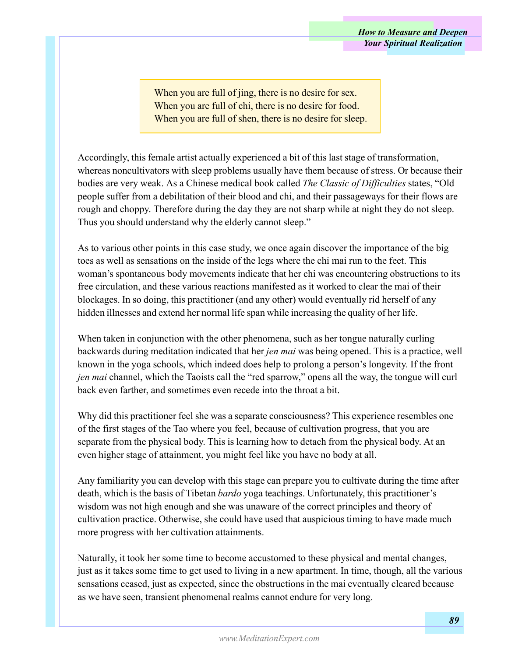When you are full of jing, there is no desire for sex. When you are full of chi, there is no desire for food. When you are full of shen, there is no desire for sleep.

Accordingly, this female artist actually experienced a bit of this last stage of transformation, whereas noncultivators with sleep problems usually have them because of stress. Or because their bodies are very weak. As a Chinese medical book called *The Classic of Difficulties* states, "Old people suffer from a debilitation of their blood and chi, and their passageways for their flows are rough and choppy. Therefore during the day they are not sharp while at night they do not sleep. Thus you should understand why the elderly cannot sleep."

As to various other points in this case study, we once again discover the importance of the big toes as well as sensations on the inside of the legs where the chi mai run to the feet. This woman's spontaneous body movements indicate that her chi was encountering obstructions to its free circulation, and these various reactions manifested as it worked to clear the mai of their blockages. In so doing, this practitioner (and any other) would eventually rid herself of any hidden illnesses and extend her normal life span while increasing the quality of her life.

When taken in conjunction with the other phenomena, such as her tongue naturally curling backwards during meditation indicated that her *jen mai* was being opened. This is a practice, well known in the yoga schools, which indeed does help to prolong a person's longevity. If the front *jen mai* channel, which the Taoists call the "red sparrow," opens all the way, the tongue will curl back even farther, and sometimes even recede into the throat a bit.

Why did this practitioner feel she was a separate consciousness? This experience resembles one of the first stages of the Tao where you feel, because of cultivation progress, that you are separate from the physical body. This is learning how to detach from the physical body. At an even higher stage of attainment, you might feel like you have no body at all.

Any familiarity you can develop with this stage can prepare you to cultivate during the time after death, which is the basis of Tibetan *bardo* yoga teachings. Unfortunately, this practitioner's wisdom was not high enough and she was unaware of the correct principles and theory of cultivation practice. Otherwise, she could have used that auspicious timing to have made much more progress with her cultivation attainments.

Naturally, it took her some time to become accustomed to these physical and mental changes, just as it takes some time to get used to living in a new apartment. In time, though, all the various sensations ceased, just as expected, since the obstructions in the mai eventually cleared because as we have seen, transient phenomenal realms cannot endure for very long.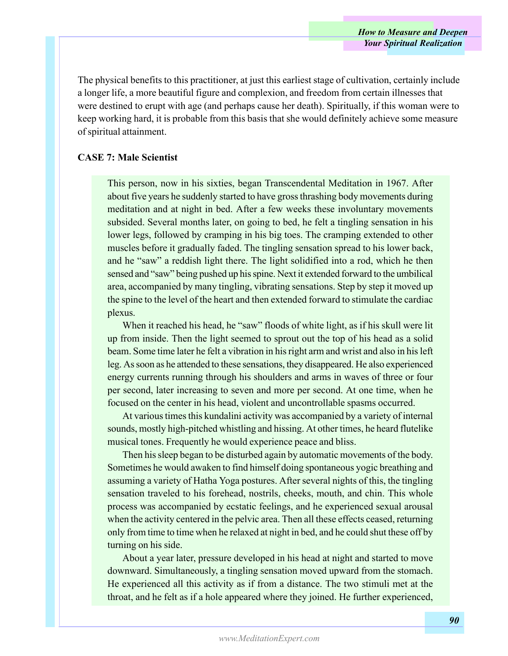The physical benefits to this practitioner, at just this earliest stage of cultivation, certainly include a longer life, a more beautiful figure and complexion, and freedom from certain illnesses that were destined to erupt with age (and perhaps cause her death). Spiritually, if this woman were to keep working hard, it is probable from this basis that she would definitely achieve some measure of spiritual attainment.

#### **CASE 7: Male Scientist**

This person, now in his sixties, began Transcendental Meditation in 1967. After about five years he suddenly started to have gross thrashing body movements during meditation and at night in bed. After a few weeks these involuntary movements subsided. Several months later, on going to bed, he felt a tingling sensation in his lower legs, followed by cramping in his big toes. The cramping extended to other muscles before it gradually faded. The tingling sensation spread to his lower back, and he "saw" a reddish light there. The light solidified into a rod, which he then sensed and "saw" being pushed up his spine. Next it extended forward to the umbilical area, accompanied by many tingling, vibrating sensations. Step by step it moved up the spine to the level of the heart and then extended forward to stimulate the cardiac plexus.

When it reached his head, he "saw" floods of white light, as if his skull were lit up from inside. Then the light seemed to sprout out the top of his head as a solid beam. Some time later he felt a vibration in his right arm and wrist and also in his left leg. As soon as he attended to these sensations, they disappeared. He also experienced energy currents running through his shoulders and arms in waves of three or four per second, later increasing to seven and more per second. At one time, when he focused on the center in his head, violent and uncontrollable spasms occurred.

At various times this kundalini activity was accompanied by a variety of internal sounds, mostly high-pitched whistling and hissing. At other times, he heard flutelike musical tones. Frequently he would experience peace and bliss.

Then his sleep began to be disturbed again by automatic movements of the body. Sometimes he would awaken to find himself doing spontaneous yogic breathing and assuming a variety of Hatha Yoga postures. After several nights of this, the tingling sensation traveled to his forehead, nostrils, cheeks, mouth, and chin. This whole process was accompanied by ecstatic feelings, and he experienced sexual arousal when the activity centered in the pelvic area. Then all these effects ceased, returning only from time to time when he relaxed at night in bed, and he could shut these off by turning on his side.

About a year later, pressure developed in his head at night and started to move downward. Simultaneously, a tingling sensation moved upward from the stomach. He experienced all this activity as if from a distance. The two stimuli met at the throat, and he felt as if a hole appeared where they joined. He further experienced,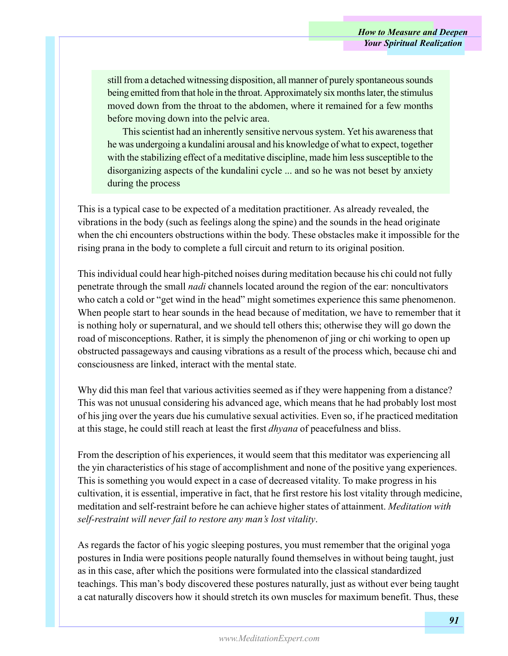still from a detached witnessing disposition, all manner of purely spontaneous sounds being emitted from that hole in the throat. Approximately six months later, the stimulus moved down from the throat to the abdomen, where it remained for a few months before moving down into the pelvic area.

This scientist had an inherently sensitive nervous system. Yet his awareness that he was undergoing a kundalini arousal and his knowledge of what to expect, together with the stabilizing effect of a meditative discipline, made him less susceptible to the disorganizing aspects of the kundalini cycle ... and so he was not beset by anxiety during the process

This is a typical case to be expected of a meditation practitioner. As already revealed, the vibrations in the body (such as feelings along the spine) and the sounds in the head originate when the chi encounters obstructions within the body. These obstacles make it impossible for the rising prana in the body to complete a full circuit and return to its original position.

This individual could hear high-pitched noises during meditation because his chi could not fully penetrate through the small *nadi* channels located around the region of the ear: noncultivators who catch a cold or "get wind in the head" might sometimes experience this same phenomenon. When people start to hear sounds in the head because of meditation, we have to remember that it is nothing holy or supernatural, and we should tell others this; otherwise they will go down the road of misconceptions. Rather, it is simply the phenomenon of jing or chi working to open up obstructed passageways and causing vibrations as a result of the process which, because chi and consciousness are linked, interact with the mental state.

Why did this man feel that various activities seemed as if they were happening from a distance? This was not unusual considering his advanced age, which means that he had probably lost most of his jing over the years due his cumulative sexual activities. Even so, if he practiced meditation at this stage, he could still reach at least the first *dhyana* of peacefulness and bliss.

From the description of his experiences, it would seem that this meditator was experiencing all the yin characteristics of his stage of accomplishment and none of the positive yang experiences. This is something you would expect in a case of decreased vitality. To make progress in his cultivation, it is essential, imperative in fact, that he first restore his lost vitality through medicine, meditation and self-restraint before he can achieve higher states of attainment. *Meditation with self-restraint will never fail to restore any manís lost vitality*.

As regards the factor of his yogic sleeping postures, you must remember that the original yoga postures in India were positions people naturally found themselves in without being taught, just as in this case, after which the positions were formulated into the classical standardized teachings. This manís body discovered these postures naturally, just as without ever being taught a cat naturally discovers how it should stretch its own muscles for maximum benefit. Thus, these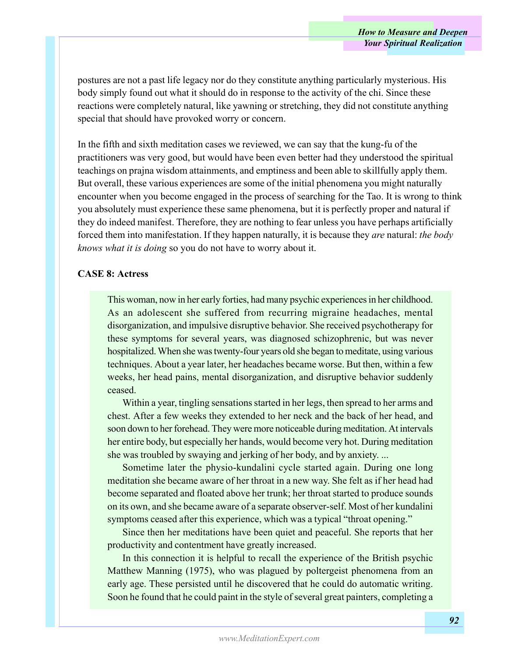postures are not a past life legacy nor do they constitute anything particularly mysterious. His body simply found out what it should do in response to the activity of the chi. Since these reactions were completely natural, like yawning or stretching, they did not constitute anything special that should have provoked worry or concern.

In the fifth and sixth meditation cases we reviewed, we can say that the kung-fu of the practitioners was very good, but would have been even better had they understood the spiritual teachings on prajna wisdom attainments, and emptiness and been able to skillfully apply them. But overall, these various experiences are some of the initial phenomena you might naturally encounter when you become engaged in the process of searching for the Tao. It is wrong to think you absolutely must experience these same phenomena, but it is perfectly proper and natural if they do indeed manifest. Therefore, they are nothing to fear unless you have perhaps artificially forced them into manifestation. If they happen naturally, it is because they *are* natural: *the body knows what it is doing* so you do not have to worry about it.

#### **CASE 8: Actress**

This woman, now in her early forties, had many psychic experiences in her childhood. As an adolescent she suffered from recurring migraine headaches, mental disorganization, and impulsive disruptive behavior. She received psychotherapy for these symptoms for several years, was diagnosed schizophrenic, but was never hospitalized. When she was twenty-four years old she began to meditate, using various techniques. About a year later, her headaches became worse. But then, within a few weeks, her head pains, mental disorganization, and disruptive behavior suddenly ceased.

Within a year, tingling sensations started in her legs, then spread to her arms and chest. After a few weeks they extended to her neck and the back of her head, and soon down to her forehead. They were more noticeable during meditation. At intervals her entire body, but especially her hands, would become very hot. During meditation she was troubled by swaying and jerking of her body, and by anxiety. ...

Sometime later the physio-kundalini cycle started again. During one long meditation she became aware of her throat in a new way. She felt as if her head had become separated and floated above her trunk; her throat started to produce sounds on its own, and she became aware of a separate observer-self. Most of her kundalini symptoms ceased after this experience, which was a typical "throat opening."

Since then her meditations have been quiet and peaceful. She reports that her productivity and contentment have greatly increased.

In this connection it is helpful to recall the experience of the British psychic Matthew Manning (1975), who was plagued by poltergeist phenomena from an early age. These persisted until he discovered that he could do automatic writing. Soon he found that he could paint in the style of several great painters, completing a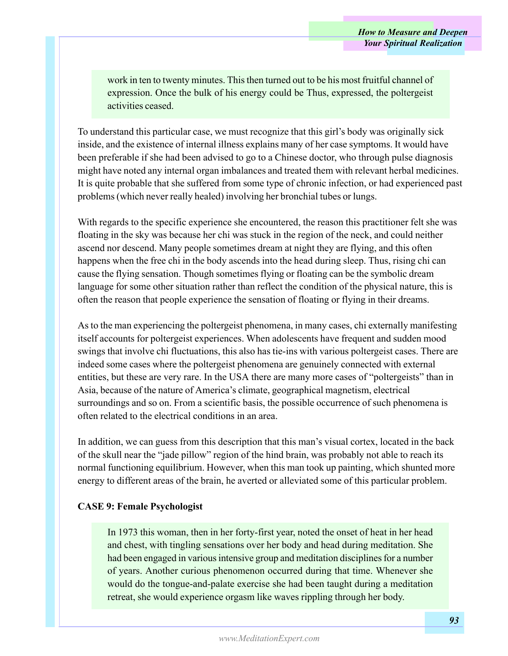work in ten to twenty minutes. This then turned out to be his most fruitful channel of expression. Once the bulk of his energy could be Thus, expressed, the poltergeist activities ceased.

To understand this particular case, we must recognize that this girl's body was originally sick inside, and the existence of internal illness explains many of her case symptoms. It would have been preferable if she had been advised to go to a Chinese doctor, who through pulse diagnosis might have noted any internal organ imbalances and treated them with relevant herbal medicines. It is quite probable that she suffered from some type of chronic infection, or had experienced past problems (which never really healed) involving her bronchial tubes or lungs.

With regards to the specific experience she encountered, the reason this practitioner felt she was floating in the sky was because her chi was stuck in the region of the neck, and could neither ascend nor descend. Many people sometimes dream at night they are flying, and this often happens when the free chi in the body ascends into the head during sleep. Thus, rising chi can cause the flying sensation. Though sometimes flying or floating can be the symbolic dream language for some other situation rather than reflect the condition of the physical nature, this is often the reason that people experience the sensation of floating or flying in their dreams.

As to the man experiencing the poltergeist phenomena, in many cases, chi externally manifesting itself accounts for poltergeist experiences. When adolescents have frequent and sudden mood swings that involve chi fluctuations, this also has tie-ins with various poltergeist cases. There are indeed some cases where the poltergeist phenomena are genuinely connected with external entities, but these are very rare. In the USA there are many more cases of "poltergeists" than in Asia, because of the nature of Americaís climate, geographical magnetism, electrical surroundings and so on. From a scientific basis, the possible occurrence of such phenomena is often related to the electrical conditions in an area.

In addition, we can guess from this description that this man's visual cortex, located in the back of the skull near the "jade pillow" region of the hind brain, was probably not able to reach its normal functioning equilibrium. However, when this man took up painting, which shunted more energy to different areas of the brain, he averted or alleviated some of this particular problem.

#### **CASE 9: Female Psychologist**

In 1973 this woman, then in her forty-first year, noted the onset of heat in her head and chest, with tingling sensations over her body and head during meditation. She had been engaged in various intensive group and meditation disciplines for a number of years. Another curious phenomenon occurred during that time. Whenever she would do the tongue-and-palate exercise she had been taught during a meditation retreat, she would experience orgasm like waves rippling through her body.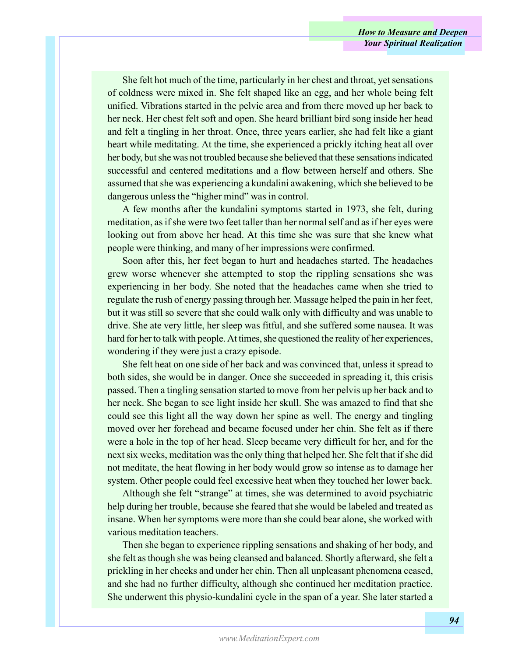She felt hot much of the time, particularly in her chest and throat, yet sensations of coldness were mixed in. She felt shaped like an egg, and her whole being felt unified. Vibrations started in the pelvic area and from there moved up her back to her neck. Her chest felt soft and open. She heard brilliant bird song inside her head and felt a tingling in her throat. Once, three years earlier, she had felt like a giant heart while meditating. At the time, she experienced a prickly itching heat all over her body, but she was not troubled because she believed that these sensations indicated successful and centered meditations and a flow between herself and others. She assumed that she was experiencing a kundalini awakening, which she believed to be dangerous unless the "higher mind" was in control.

A few months after the kundalini symptoms started in 1973, she felt, during meditation, as if she were two feet taller than her normal self and as if her eyes were looking out from above her head. At this time she was sure that she knew what people were thinking, and many of her impressions were confirmed.

Soon after this, her feet began to hurt and headaches started. The headaches grew worse whenever she attempted to stop the rippling sensations she was experiencing in her body. She noted that the headaches came when she tried to regulate the rush of energy passing through her. Massage helped the pain in her feet, but it was still so severe that she could walk only with difficulty and was unable to drive. She ate very little, her sleep was fitful, and she suffered some nausea. It was hard for her to talk with people. At times, she questioned the reality of her experiences, wondering if they were just a crazy episode.

She felt heat on one side of her back and was convinced that, unless it spread to both sides, she would be in danger. Once she succeeded in spreading it, this crisis passed. Then a tingling sensation started to move from her pelvis up her back and to her neck. She began to see light inside her skull. She was amazed to find that she could see this light all the way down her spine as well. The energy and tingling moved over her forehead and became focused under her chin. She felt as if there were a hole in the top of her head. Sleep became very difficult for her, and for the next six weeks, meditation was the only thing that helped her. She felt that if she did not meditate, the heat flowing in her body would grow so intense as to damage her system. Other people could feel excessive heat when they touched her lower back.

Although she felt "strange" at times, she was determined to avoid psychiatric help during her trouble, because she feared that she would be labeled and treated as insane. When her symptoms were more than she could bear alone, she worked with various meditation teachers.

Then she began to experience rippling sensations and shaking of her body, and she felt as though she was being cleansed and balanced. Shortly afterward, she felt a prickling in her cheeks and under her chin. Then all unpleasant phenomena ceased, and she had no further difficulty, although she continued her meditation practice. She underwent this physio-kundalini cycle in the span of a year. She later started a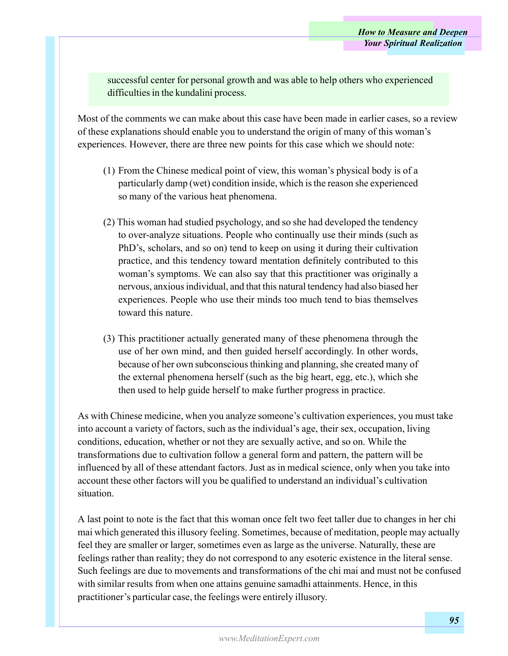successful center for personal growth and was able to help others who experienced difficulties in the kundalini process.

Most of the comments we can make about this case have been made in earlier cases, so a review of these explanations should enable you to understand the origin of many of this womanís experiences. However, there are three new points for this case which we should note:

- (1) From the Chinese medical point of view, this womanís physical body is of a particularly damp (wet) condition inside, which is the reason she experienced so many of the various heat phenomena.
- (2) This woman had studied psychology, and so she had developed the tendency to over-analyze situations. People who continually use their minds (such as PhD's, scholars, and so on) tend to keep on using it during their cultivation practice, and this tendency toward mentation definitely contributed to this woman's symptoms. We can also say that this practitioner was originally a nervous, anxious individual, and that this natural tendency had also biased her experiences. People who use their minds too much tend to bias themselves toward this nature.
- (3) This practitioner actually generated many of these phenomena through the use of her own mind, and then guided herself accordingly. In other words, because of her own subconscious thinking and planning, she created many of the external phenomena herself (such as the big heart, egg, etc.), which she then used to help guide herself to make further progress in practice.

As with Chinese medicine, when you analyze someone's cultivation experiences, you must take into account a variety of factors, such as the individual's age, their sex, occupation, living conditions, education, whether or not they are sexually active, and so on. While the transformations due to cultivation follow a general form and pattern, the pattern will be influenced by all of these attendant factors. Just as in medical science, only when you take into account these other factors will you be qualified to understand an individual's cultivation situation.

A last point to note is the fact that this woman once felt two feet taller due to changes in her chi mai which generated this illusory feeling. Sometimes, because of meditation, people may actually feel they are smaller or larger, sometimes even as large as the universe. Naturally, these are feelings rather than reality; they do not correspond to any esoteric existence in the literal sense. Such feelings are due to movements and transformations of the chi mai and must not be confused with similar results from when one attains genuine samadhi attainments. Hence, in this practitioner's particular case, the feelings were entirely illusory.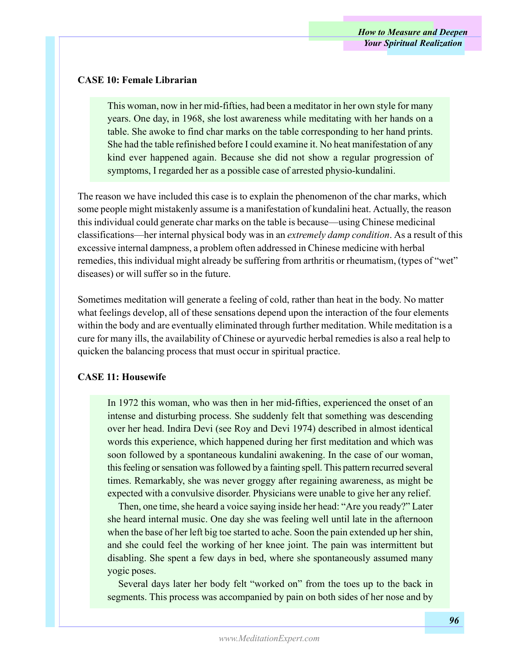#### **CASE 10: Female Librarian**

This woman, now in her mid-fifties, had been a meditator in her own style for many years. One day, in 1968, she lost awareness while meditating with her hands on a table. She awoke to find char marks on the table corresponding to her hand prints. She had the table refinished before I could examine it. No heat manifestation of any kind ever happened again. Because she did not show a regular progression of symptoms, I regarded her as a possible case of arrested physio-kundalini.

The reason we have included this case is to explain the phenomenon of the char marks, which some people might mistakenly assume is a manifestation of kundalini heat. Actually, the reason this individual could generate char marks on the table is because—using Chinese medicinal classifications—her internal physical body was in an *extremely damp condition*. As a result of this excessive internal dampness, a problem often addressed in Chinese medicine with herbal remedies, this individual might already be suffering from arthritis or rheumatism, (types of "wet" diseases) or will suffer so in the future.

Sometimes meditation will generate a feeling of cold, rather than heat in the body. No matter what feelings develop, all of these sensations depend upon the interaction of the four elements within the body and are eventually eliminated through further meditation. While meditation is a cure for many ills, the availability of Chinese or ayurvedic herbal remedies is also a real help to quicken the balancing process that must occur in spiritual practice.

## **CASE 11: Housewife**

In 1972 this woman, who was then in her mid-fifties, experienced the onset of an intense and disturbing process. She suddenly felt that something was descending over her head. Indira Devi (see Roy and Devi 1974) described in almost identical words this experience, which happened during her first meditation and which was soon followed by a spontaneous kundalini awakening. In the case of our woman, this feeling or sensation was followed by a fainting spell. This pattern recurred several times. Remarkably, she was never groggy after regaining awareness, as might be expected with a convulsive disorder. Physicians were unable to give her any relief.

Then, one time, she heard a voice saying inside her head: "Are you ready?" Later she heard internal music. One day she was feeling well until late in the afternoon when the base of her left big toe started to ache. Soon the pain extended up her shin, and she could feel the working of her knee joint. The pain was intermittent but disabling. She spent a few days in bed, where she spontaneously assumed many yogic poses.

Several days later her body felt "worked on" from the toes up to the back in segments. This process was accompanied by pain on both sides of her nose and by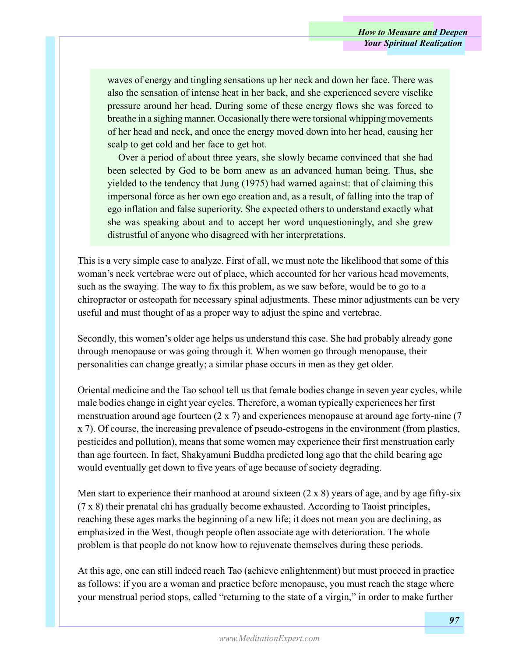waves of energy and tingling sensations up her neck and down her face. There was also the sensation of intense heat in her back, and she experienced severe viselike pressure around her head. During some of these energy flows she was forced to breathe in a sighing manner. Occasionally there were torsional whipping movements of her head and neck, and once the energy moved down into her head, causing her scalp to get cold and her face to get hot.

Over a period of about three years, she slowly became convinced that she had been selected by God to be born anew as an advanced human being. Thus, she yielded to the tendency that Jung (1975) had warned against: that of claiming this impersonal force as her own ego creation and, as a result, of falling into the trap of ego inflation and false superiority. She expected others to understand exactly what she was speaking about and to accept her word unquestioningly, and she grew distrustful of anyone who disagreed with her interpretations.

This is a very simple case to analyze. First of all, we must note the likelihood that some of this woman's neck vertebrae were out of place, which accounted for her various head movements, such as the swaying. The way to fix this problem, as we saw before, would be to go to a chiropractor or osteopath for necessary spinal adjustments. These minor adjustments can be very useful and must thought of as a proper way to adjust the spine and vertebrae.

Secondly, this women's older age helps us understand this case. She had probably already gone through menopause or was going through it. When women go through menopause, their personalities can change greatly; a similar phase occurs in men as they get older.

Oriental medicine and the Tao school tell us that female bodies change in seven year cycles, while male bodies change in eight year cycles. Therefore, a woman typically experiences her first menstruation around age fourteen (2 x 7) and experiences menopause at around age forty-nine (7 x 7). Of course, the increasing prevalence of pseudo-estrogens in the environment (from plastics, pesticides and pollution), means that some women may experience their first menstruation early than age fourteen. In fact, Shakyamuni Buddha predicted long ago that the child bearing age would eventually get down to five years of age because of society degrading.

Men start to experience their manhood at around sixteen  $(2 \times 8)$  years of age, and by age fifty-six (7 x 8) their prenatal chi has gradually become exhausted. According to Taoist principles, reaching these ages marks the beginning of a new life; it does not mean you are declining, as emphasized in the West, though people often associate age with deterioration. The whole problem is that people do not know how to rejuvenate themselves during these periods.

At this age, one can still indeed reach Tao (achieve enlightenment) but must proceed in practice as follows: if you are a woman and practice before menopause, you must reach the stage where your menstrual period stops, called "returning to the state of a virgin," in order to make further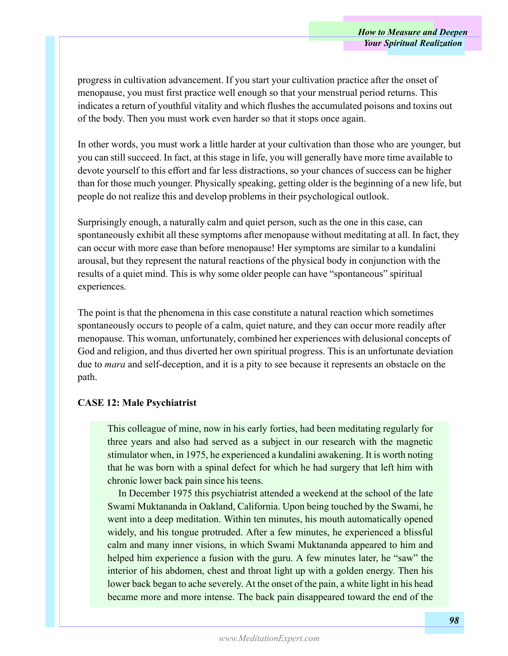progress in cultivation advancement. If you start your cultivation practice after the onset of menopause, you must first practice well enough so that your menstrual period returns. This indicates a return of youthful vitality and which flushes the accumulated poisons and toxins out of the body. Then you must work even harder so that it stops once again.

In other words, you must work a little harder at your cultivation than those who are younger, but you can still succeed. In fact, at this stage in life, you will generally have more time available to devote yourself to this effort and far less distractions, so your chances of success can be higher than for those much younger. Physically speaking, getting older is the beginning of a new life, but people do not realize this and develop problems in their psychological outlook.

Surprisingly enough, a naturally calm and quiet person, such as the one in this case, can spontaneously exhibit all these symptoms after menopause without meditating at all. In fact, they can occur with more ease than before menopause! Her symptoms are similar to a kundalini arousal, but they represent the natural reactions of the physical body in conjunction with the results of a quiet mind. This is why some older people can have "spontaneous" spiritual experiences.

The point is that the phenomena in this case constitute a natural reaction which sometimes spontaneously occurs to people of a calm, quiet nature, and they can occur more readily after menopause. This woman, unfortunately, combined her experiences with delusional concepts of God and religion, and thus diverted her own spiritual progress. This is an unfortunate deviation due to *mara* and self-deception, and it is a pity to see because it represents an obstacle on the path.

#### **CASE 12: Male Psychiatrist**

This colleague of mine, now in his early forties, had been meditating regularly for three years and also had served as a subject in our research with the magnetic stimulator when, in 1975, he experienced a kundalini awakening. It is worth noting that he was born with a spinal defect for which he had surgery that left him with chronic lower back pain since his teens.

In December 1975 this psychiatrist attended a weekend at the school of the late Swami Muktananda in Oakland, California. Upon being touched by the Swami, he went into a deep meditation. Within ten minutes, his mouth automatically opened widely, and his tongue protruded. After a few minutes, he experienced a blissful calm and many inner visions, in which Swami Muktananda appeared to him and helped him experience a fusion with the guru. A few minutes later, he "saw" the interior of his abdomen, chest and throat light up with a golden energy. Then his lower back began to ache severely. At the onset of the pain, a white light in his head became more and more intense. The back pain disappeared toward the end of the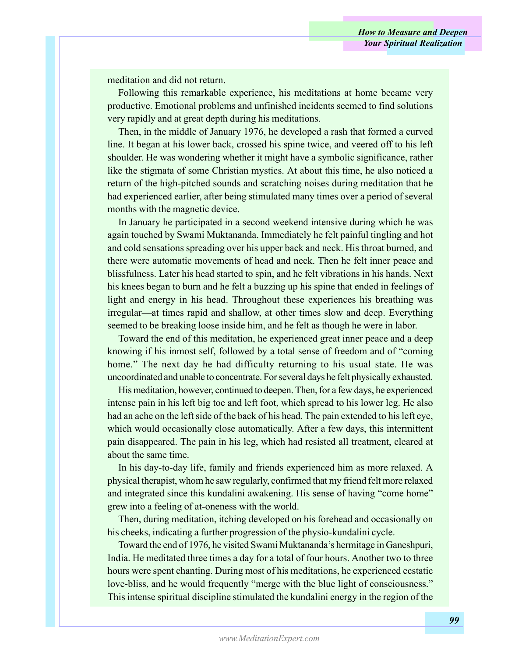meditation and did not return.

Following this remarkable experience, his meditations at home became very productive. Emotional problems and unfinished incidents seemed to find solutions very rapidly and at great depth during his meditations.

Then, in the middle of January 1976, he developed a rash that formed a curved line. It began at his lower back, crossed his spine twice, and veered off to his left shoulder. He was wondering whether it might have a symbolic significance, rather like the stigmata of some Christian mystics. At about this time, he also noticed a return of the high-pitched sounds and scratching noises during meditation that he had experienced earlier, after being stimulated many times over a period of several months with the magnetic device.

In January he participated in a second weekend intensive during which he was again touched by Swami Muktananda. Immediately he felt painful tingling and hot and cold sensations spreading over his upper back and neck. His throat burned, and there were automatic movements of head and neck. Then he felt inner peace and blissfulness. Later his head started to spin, and he felt vibrations in his hands. Next his knees began to burn and he felt a buzzing up his spine that ended in feelings of light and energy in his head. Throughout these experiences his breathing was irregular—at times rapid and shallow, at other times slow and deep. Everything seemed to be breaking loose inside him, and he felt as though he were in labor.

Toward the end of this meditation, he experienced great inner peace and a deep knowing if his inmost self, followed by a total sense of freedom and of "coming" home." The next day he had difficulty returning to his usual state. He was uncoordinated and unable to concentrate. For several days he felt physically exhausted.

His meditation, however, continued to deepen. Then, for a few days, he experienced intense pain in his left big toe and left foot, which spread to his lower leg. He also had an ache on the left side of the back of his head. The pain extended to his left eye, which would occasionally close automatically. After a few days, this intermittent pain disappeared. The pain in his leg, which had resisted all treatment, cleared at about the same time.

In his day-to-day life, family and friends experienced him as more relaxed. A physical therapist, whom he saw regularly, confirmed that my friend felt more relaxed and integrated since this kundalini awakening. His sense of having "come home" grew into a feeling of at-oneness with the world.

Then, during meditation, itching developed on his forehead and occasionally on his cheeks, indicating a further progression of the physio-kundalini cycle.

Toward the end of 1976, he visited Swami Muktananda's hermitage in Ganeshpuri, India. He meditated three times a day for a total of four hours. Another two to three hours were spent chanting. During most of his meditations, he experienced ecstatic love-bliss, and he would frequently "merge with the blue light of consciousness." This intense spiritual discipline stimulated the kundalini energy in the region of the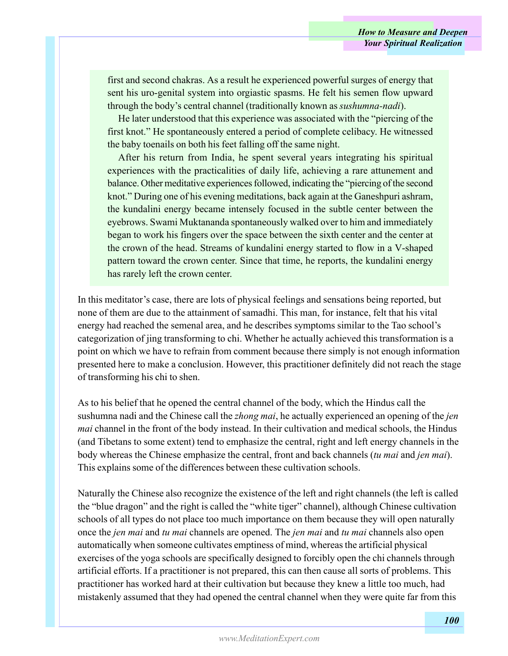first and second chakras. As a result he experienced powerful surges of energy that sent his uro-genital system into orgiastic spasms. He felt his semen flow upward through the body's central channel (traditionally known as *sushumna-nadi*).

He later understood that this experience was associated with the "piercing of the first knot." He spontaneously entered a period of complete celibacy. He witnessed the baby toenails on both his feet falling off the same night.

After his return from India, he spent several years integrating his spiritual experiences with the practicalities of daily life, achieving a rare attunement and balance. Other meditative experiences followed, indicating the "piercing of the second knot." During one of his evening meditations, back again at the Ganeshpuri ashram, the kundalini energy became intensely focused in the subtle center between the eyebrows. Swami Muktananda spontaneously walked over to him and immediately began to work his fingers over the space between the sixth center and the center at the crown of the head. Streams of kundalini energy started to flow in a V-shaped pattern toward the crown center. Since that time, he reports, the kundalini energy has rarely left the crown center.

In this meditator's case, there are lots of physical feelings and sensations being reported, but none of them are due to the attainment of samadhi. This man, for instance, felt that his vital energy had reached the semenal area, and he describes symptoms similar to the Tao school's categorization of jing transforming to chi. Whether he actually achieved this transformation is a point on which we have to refrain from comment because there simply is not enough information presented here to make a conclusion. However, this practitioner definitely did not reach the stage of transforming his chi to shen.

As to his belief that he opened the central channel of the body, which the Hindus call the sushumna nadi and the Chinese call the *zhong mai*, he actually experienced an opening of the *jen mai* channel in the front of the body instead. In their cultivation and medical schools, the Hindus (and Tibetans to some extent) tend to emphasize the central, right and left energy channels in the body whereas the Chinese emphasize the central, front and back channels (*tu mai* and *jen mai*). This explains some of the differences between these cultivation schools.

Naturally the Chinese also recognize the existence of the left and right channels (the left is called the "blue dragon" and the right is called the "white tiger" channel), although Chinese cultivation schools of all types do not place too much importance on them because they will open naturally once the *jen mai* and *tu mai* channels are opened. The *jen mai* and *tu mai* channels also open automatically when someone cultivates emptiness of mind, whereas the artificial physical exercises of the yoga schools are specifically designed to forcibly open the chi channels through artificial efforts. If a practitioner is not prepared, this can then cause all sorts of problems. This practitioner has worked hard at their cultivation but because they knew a little too much, had mistakenly assumed that they had opened the central channel when they were quite far from this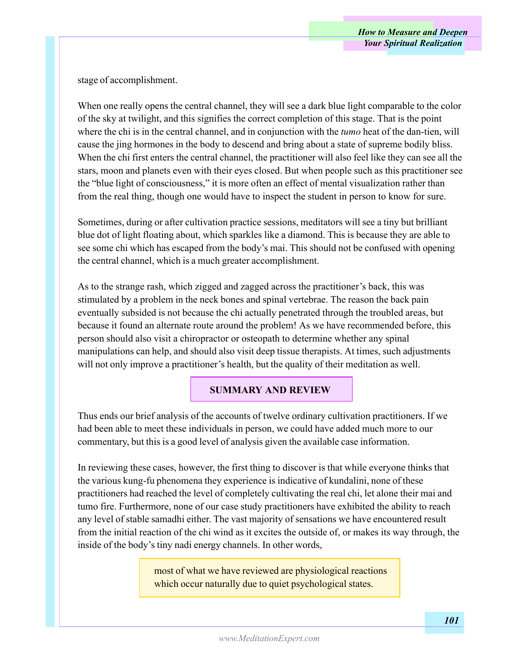stage of accomplishment.

When one really opens the central channel, they will see a dark blue light comparable to the color of the sky at twilight, and this signifies the correct completion of this stage. That is the point where the chi is in the central channel, and in conjunction with the *tumo* heat of the dan-tien, will cause the jing hormones in the body to descend and bring about a state of supreme bodily bliss. When the chi first enters the central channel, the practitioner will also feel like they can see all the stars, moon and planets even with their eyes closed. But when people such as this practitioner see the "blue light of consciousness," it is more often an effect of mental visualization rather than from the real thing, though one would have to inspect the student in person to know for sure.

Sometimes, during or after cultivation practice sessions, meditators will see a tiny but brilliant blue dot of light floating about, which sparkles like a diamond. This is because they are able to see some chi which has escaped from the body's mai. This should not be confused with opening the central channel, which is a much greater accomplishment.

As to the strange rash, which zigged and zagged across the practitioner's back, this was stimulated by a problem in the neck bones and spinal vertebrae. The reason the back pain eventually subsided is not because the chi actually penetrated through the troubled areas, but because it found an alternate route around the problem! As we have recommended before, this person should also visit a chiropractor or osteopath to determine whether any spinal manipulations can help, and should also visit deep tissue therapists. At times, such adjustments will not only improve a practitioner's health, but the quality of their meditation as well.

# **SUMMARY AND REVIEW**

Thus ends our brief analysis of the accounts of twelve ordinary cultivation practitioners. If we had been able to meet these individuals in person, we could have added much more to our commentary, but this is a good level of analysis given the available case information.

In reviewing these cases, however, the first thing to discover is that while everyone thinks that the various kung-fu phenomena they experience is indicative of kundalini, none of these practitioners had reached the level of completely cultivating the real chi, let alone their mai and tumo fire. Furthermore, none of our case study practitioners have exhibited the ability to reach any level of stable samadhi either. The vast majority of sensations we have encountered result from the initial reaction of the chi wind as it excites the outside of, or makes its way through, the inside of the body's tiny nadi energy channels. In other words,

> most of what we have reviewed are physiological reactions which occur naturally due to quiet psychological states.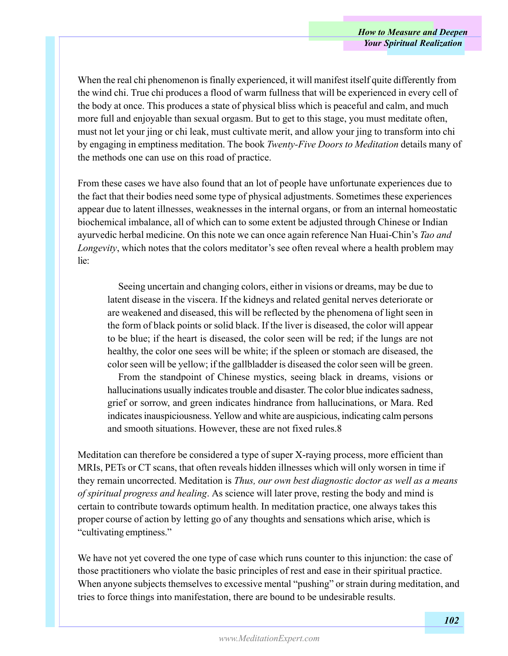When the real chi phenomenon is finally experienced, it will manifest itself quite differently from the wind chi. True chi produces a flood of warm fullness that will be experienced in every cell of the body at once. This produces a state of physical bliss which is peaceful and calm, and much more full and enjoyable than sexual orgasm. But to get to this stage, you must meditate often, must not let your jing or chi leak, must cultivate merit, and allow your jing to transform into chi by engaging in emptiness meditation. The book *Twenty-Five Doors to Meditation* details many of the methods one can use on this road of practice.

From these cases we have also found that an lot of people have unfortunate experiences due to the fact that their bodies need some type of physical adjustments. Sometimes these experiences appear due to latent illnesses, weaknesses in the internal organs, or from an internal homeostatic biochemical imbalance, all of which can to some extent be adjusted through Chinese or Indian ayurvedic herbal medicine. On this note we can once again reference Nan Huai-Chinís *Tao and Longevity*, which notes that the colors meditator's see often reveal where a health problem may lie:

Seeing uncertain and changing colors, either in visions or dreams, may be due to latent disease in the viscera. If the kidneys and related genital nerves deteriorate or are weakened and diseased, this will be reflected by the phenomena of light seen in the form of black points or solid black. If the liver is diseased, the color will appear to be blue; if the heart is diseased, the color seen will be red; if the lungs are not healthy, the color one sees will be white; if the spleen or stomach are diseased, the color seen will be yellow; if the gallbladder is diseased the color seen will be green.

From the standpoint of Chinese mystics, seeing black in dreams, visions or hallucinations usually indicates trouble and disaster. The color blue indicates sadness, grief or sorrow, and green indicates hindrance from hallucinations, or Mara. Red indicates inauspiciousness. Yellow and white are auspicious, indicating calm persons and smooth situations. However, these are not fixed rules.8

Meditation can therefore be considered a type of super X-raying process, more efficient than MRIs, PETs or CT scans, that often reveals hidden illnesses which will only worsen in time if they remain uncorrected. Meditation is *Thus, our own best diagnostic doctor as well as a means of spiritual progress and healing*. As science will later prove, resting the body and mind is certain to contribute towards optimum health. In meditation practice, one always takes this proper course of action by letting go of any thoughts and sensations which arise, which is "cultivating emptiness."

We have not yet covered the one type of case which runs counter to this injunction: the case of those practitioners who violate the basic principles of rest and ease in their spiritual practice. When anyone subjects themselves to excessive mental "pushing" or strain during meditation, and tries to force things into manifestation, there are bound to be undesirable results.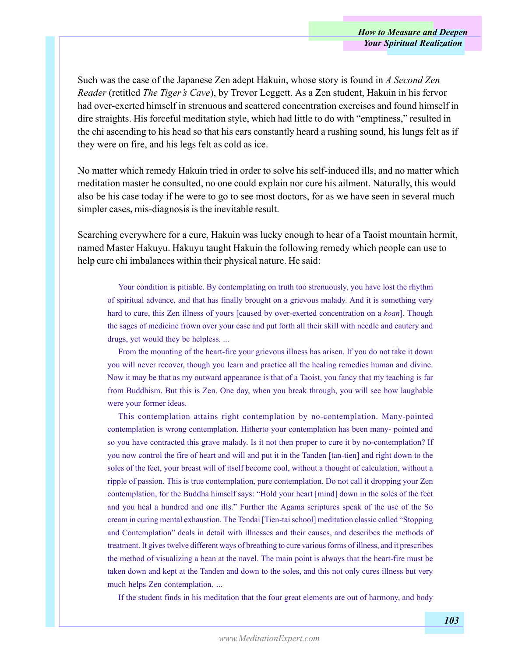Such was the case of the Japanese Zen adept Hakuin, whose story is found in *A Second Zen Reader* (retitled *The Tiger's Cave*), by Trevor Leggett. As a Zen student, Hakuin in his fervor had over-exerted himself in strenuous and scattered concentration exercises and found himself in dire straights. His forceful meditation style, which had little to do with "emptiness," resulted in the chi ascending to his head so that his ears constantly heard a rushing sound, his lungs felt as if they were on fire, and his legs felt as cold as ice.

No matter which remedy Hakuin tried in order to solve his self-induced ills, and no matter which meditation master he consulted, no one could explain nor cure his ailment. Naturally, this would also be his case today if he were to go to see most doctors, for as we have seen in several much simpler cases, mis-diagnosis is the inevitable result.

Searching everywhere for a cure, Hakuin was lucky enough to hear of a Taoist mountain hermit, named Master Hakuyu. Hakuyu taught Hakuin the following remedy which people can use to help cure chi imbalances within their physical nature. He said:

Your condition is pitiable. By contemplating on truth too strenuously, you have lost the rhythm of spiritual advance, and that has finally brought on a grievous malady. And it is something very hard to cure, this Zen illness of yours [caused by over-exerted concentration on a *koan*]. Though the sages of medicine frown over your case and put forth all their skill with needle and cautery and drugs, yet would they be helpless. ...

From the mounting of the heart-fire your grievous illness has arisen. If you do not take it down you will never recover, though you learn and practice all the healing remedies human and divine. Now it may be that as my outward appearance is that of a Taoist, you fancy that my teaching is far from Buddhism. But this is Zen. One day, when you break through, you will see how laughable were your former ideas.

This contemplation attains right contemplation by no-contemplation. Many-pointed contemplation is wrong contemplation. Hitherto your contemplation has been many- pointed and so you have contracted this grave malady. Is it not then proper to cure it by no-contemplation? If you now control the fire of heart and will and put it in the Tanden [tan-tien] and right down to the soles of the feet, your breast will of itself become cool, without a thought of calculation, without a ripple of passion. This is true contemplation, pure contemplation. Do not call it dropping your Zen contemplation, for the Buddha himself says: "Hold your heart [mind] down in the soles of the feet and you heal a hundred and one ills." Further the Agama scriptures speak of the use of the So cream in curing mental exhaustion. The Tendai [Tien-tai school] meditation classic called "Stopping and Contemplation" deals in detail with illnesses and their causes, and describes the methods of treatment. It gives twelve different ways of breathing to cure various forms of illness, and it prescribes the method of visualizing a bean at the navel. The main point is always that the heart-fire must be taken down and kept at the Tanden and down to the soles, and this not only cures illness but very much helps Zen contemplation. ...

If the student finds in his meditation that the four great elements are out of harmony, and body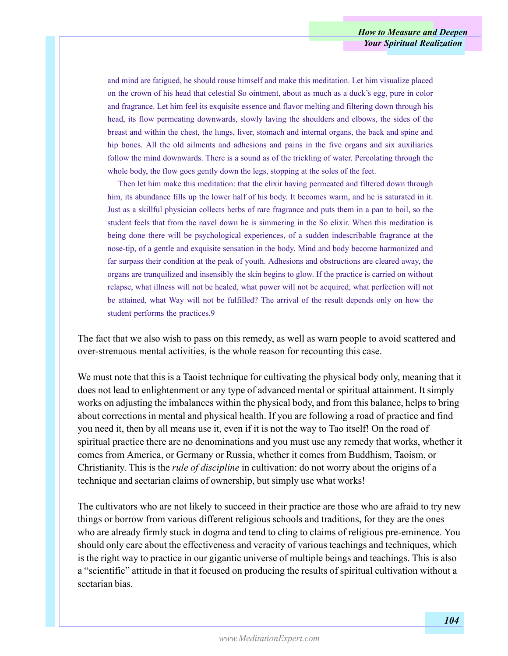and mind are fatigued, he should rouse himself and make this meditation. Let him visualize placed on the crown of his head that celestial So ointment, about as much as a duck's egg, pure in color and fragrance. Let him feel its exquisite essence and flavor melting and filtering down through his head, its flow permeating downwards, slowly laving the shoulders and elbows, the sides of the breast and within the chest, the lungs, liver, stomach and internal organs, the back and spine and hip bones. All the old ailments and adhesions and pains in the five organs and six auxiliaries follow the mind downwards. There is a sound as of the trickling of water. Percolating through the whole body, the flow goes gently down the legs, stopping at the soles of the feet.

Then let him make this meditation: that the elixir having permeated and filtered down through him, its abundance fills up the lower half of his body. It becomes warm, and he is saturated in it. Just as a skillful physician collects herbs of rare fragrance and puts them in a pan to boil, so the student feels that from the navel down he is simmering in the So elixir. When this meditation is being done there will be psychological experiences, of a sudden indescribable fragrance at the nose-tip, of a gentle and exquisite sensation in the body. Mind and body become harmonized and far surpass their condition at the peak of youth. Adhesions and obstructions are cleared away, the organs are tranquilized and insensibly the skin begins to glow. If the practice is carried on without relapse, what illness will not be healed, what power will not be acquired, what perfection will not be attained, what Way will not be fulfilled? The arrival of the result depends only on how the student performs the practices.9

The fact that we also wish to pass on this remedy, as well as warn people to avoid scattered and over-strenuous mental activities, is the whole reason for recounting this case.

We must note that this is a Taoist technique for cultivating the physical body only, meaning that it does not lead to enlightenment or any type of advanced mental or spiritual attainment. It simply works on adjusting the imbalances within the physical body, and from this balance, helps to bring about corrections in mental and physical health. If you are following a road of practice and find you need it, then by all means use it, even if it is not the way to Tao itself! On the road of spiritual practice there are no denominations and you must use any remedy that works, whether it comes from America, or Germany or Russia, whether it comes from Buddhism, Taoism, or Christianity. This is the *rule of discipline* in cultivation: do not worry about the origins of a technique and sectarian claims of ownership, but simply use what works!

The cultivators who are not likely to succeed in their practice are those who are afraid to try new things or borrow from various different religious schools and traditions, for they are the ones who are already firmly stuck in dogma and tend to cling to claims of religious pre-eminence. You should only care about the effectiveness and veracity of various teachings and techniques, which is the right way to practice in our gigantic universe of multiple beings and teachings. This is also a "scientific" attitude in that it focused on producing the results of spiritual cultivation without a sectarian bias.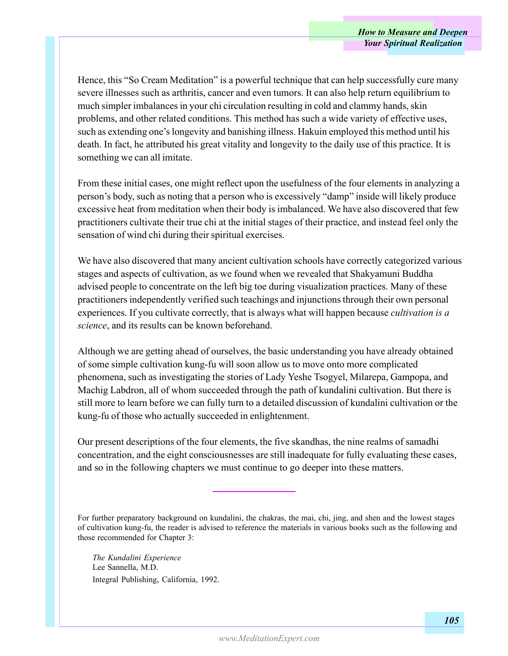Hence, this "So Cream Meditation" is a powerful technique that can help successfully cure many severe illnesses such as arthritis, cancer and even tumors. It can also help return equilibrium to much simpler imbalances in your chi circulation resulting in cold and clammy hands, skin problems, and other related conditions. This method has such a wide variety of effective uses, such as extending one's longevity and banishing illness. Hakuin employed this method until his death. In fact, he attributed his great vitality and longevity to the daily use of this practice. It is something we can all imitate.

From these initial cases, one might reflect upon the usefulness of the four elements in analyzing a person's body, such as noting that a person who is excessively "damp" inside will likely produce excessive heat from meditation when their body is imbalanced. We have also discovered that few practitioners cultivate their true chi at the initial stages of their practice, and instead feel only the sensation of wind chi during their spiritual exercises.

We have also discovered that many ancient cultivation schools have correctly categorized various stages and aspects of cultivation, as we found when we revealed that Shakyamuni Buddha advised people to concentrate on the left big toe during visualization practices. Many of these practitioners independently verified such teachings and injunctions through their own personal experiences. If you cultivate correctly, that is always what will happen because *cultivation is a science*, and its results can be known beforehand.

Although we are getting ahead of ourselves, the basic understanding you have already obtained of some simple cultivation kung-fu will soon allow us to move onto more complicated phenomena, such as investigating the stories of Lady Yeshe Tsogyel, Milarepa, Gampopa, and Machig Labdron, all of whom succeeded through the path of kundalini cultivation. But there is still more to learn before we can fully turn to a detailed discussion of kundalini cultivation or the kung-fu of those who actually succeeded in enlightenment.

Our present descriptions of the four elements, the five skandhas, the nine realms of samadhi concentration, and the eight consciousnesses are still inadequate for fully evaluating these cases, and so in the following chapters we must continue to go deeper into these matters.

For further preparatory background on kundalini, the chakras, the mai, chi, jing, and shen and the lowest stages of cultivation kung-fu, the reader is advised to reference the materials in various books such as the following and those recommended for Chapter 3:

*The Kundalini Experience* Lee Sannella, M.D. Integral Publishing, California, 1992.